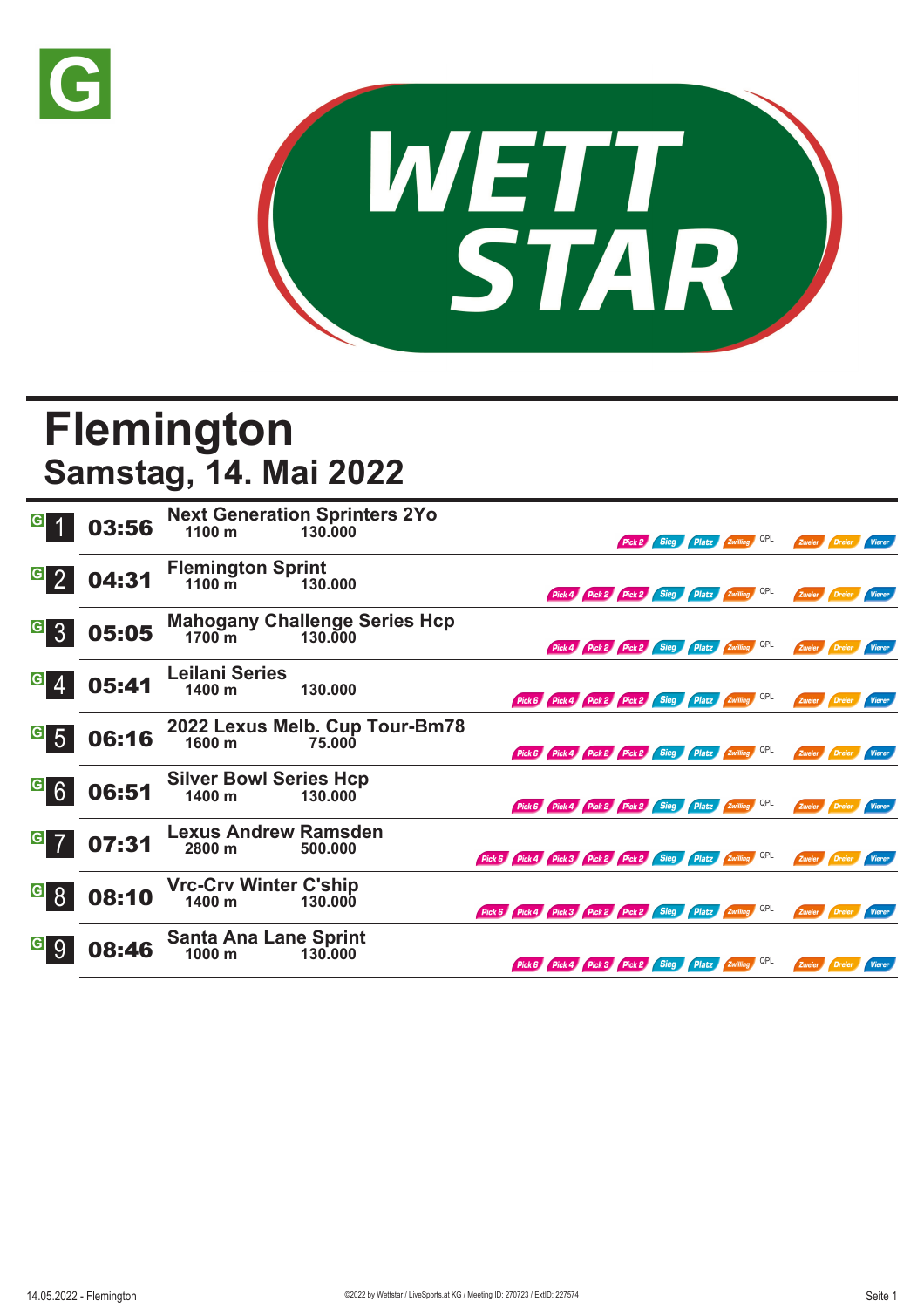



## **Flemington Samstag, 14. Mai 2022**

|                                   | 03:56 | 1100 m                                            | <b>Next Generation Sprinters 2Yo</b><br>130.000 |                                                            |                                                     |  |  | Pick 2 Sieg Platz Zwilling QPL               |  | Zweier Dreier |               | <b>Vierer</b> |
|-----------------------------------|-------|---------------------------------------------------|-------------------------------------------------|------------------------------------------------------------|-----------------------------------------------------|--|--|----------------------------------------------|--|---------------|---------------|---------------|
| $\vert G \vert$<br>$\overline{2}$ | 04:31 | <b>Flemington Sprint</b><br>$1100 \,\mathrm{m}$   | 130.000                                         |                                                            |                                                     |  |  | Pick 4 Pick 2 Pick 2 Sieg Platz Zwilling QPL |  | Zweier        | Dreier        | Vierer        |
| $\vert G \vert$<br>$\mathcal{S}$  | 05:05 | 1700 <sub>m</sub>                                 | <b>Mahogany Challenge Series Hcp</b><br>130.000 |                                                            |                                                     |  |  | Pick 4 Pick 2 Pick 2 Sieg Platz Zwilling QPL |  |               | Zweier Dreier | Vierer        |
| G                                 | 05:41 | <b>Leilani Series</b><br>1400 m                   | 130.000                                         |                                                            | Pick 6 Pick 4 Pick 2 Pick 2 Sieg Platz Zwilling QPL |  |  |                                              |  |               | Zweier Dreier | Vierer        |
| $\mathbf{G}$<br>$5\overline{)}$   | 06:16 | 1600 m                                            | 2022 Lexus Melb. Cup Tour-Bm78<br>75.000        |                                                            | Pick 6 Pick 4 Pick 2 Pick 2 Sieg Platz Zwilling QPL |  |  |                                              |  | Zweier        | Dreier        | Vierer        |
| $G$ 6                             | 06:51 | <b>Silver Bowl Series Hcp</b><br>$1400 \text{ m}$ | 130.000                                         |                                                            | Pick 6 Pick 4 Pick 2 Pick 2 Sieg Platz Zwilling QPL |  |  |                                              |  |               | Zweier Dreier | Vierer        |
| $\overline{G}$                    | 07:31 | <b>Lexus Andrew Ramsden</b><br>2800 m             | 500.000                                         | Pick 6 Pick 4 Pick 3 Pick 2 Pick 2 Sieg Platz Zwilling QPL |                                                     |  |  |                                              |  |               | Zweier Dreier | Vierer        |
| $\overline{G}$ $\overline{8}$     | 08:10 | <b>Vrc-Crv Winter C'ship</b><br>1400 m            | 130,000                                         | Pick 6 Pick 4 Pick 3 Pick 2 Pick 2 Sieg Platz Zwilling QPL |                                                     |  |  |                                              |  | Zweier        | Dreier        | <b>Vierer</b> |
| $\vert G \vert$<br>9              | 08:46 | <b>Santa Ana Lane Sprint</b><br>1000 m            | 130,000                                         |                                                            | Pick 6 Pick 4 Pick 3 Pick 2 Sieg Platz Zwilling QPL |  |  |                                              |  | Zweier Dreier |               | Vierer        |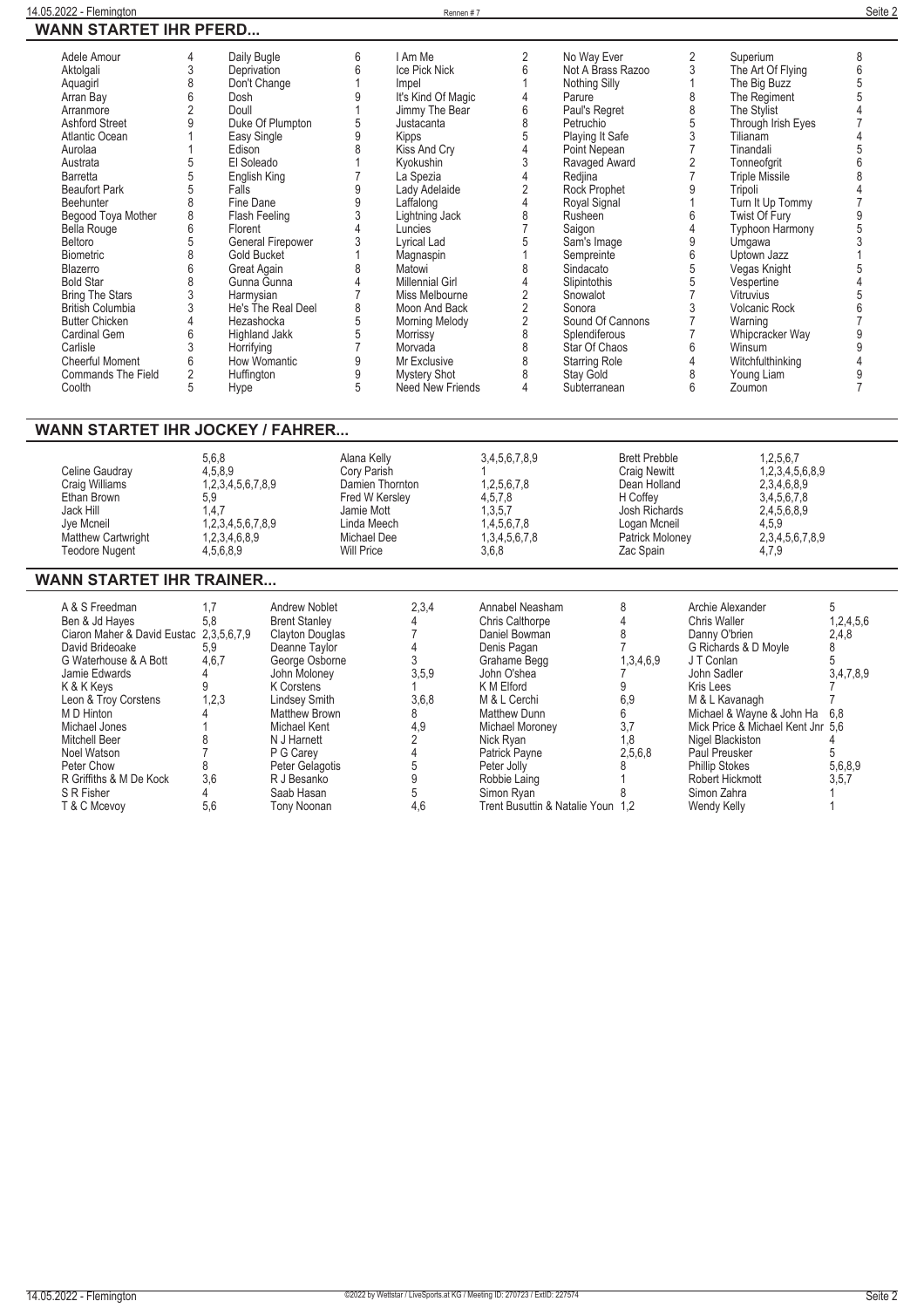| $\mathbf{W}$ ani $\mathbf{V}$ of an $\mathbf{F}$ is the fig                                                                                                                                                                                                                                                                                                                                                                                                                           |                                                                                                                                                |                                                                                                                                                                                                                                                                                                                                                                                  |                                                                                                               |                                                                                                                                                                                                                                                                                                                                                                                                                            |                                                                                                                                 |                                                                                                                                                                                                                                                                                                                                                                                                          |                                                                                                                                                   |                                                                                                                                                                                                                                                                                                                                                                                                                               |                       |
|---------------------------------------------------------------------------------------------------------------------------------------------------------------------------------------------------------------------------------------------------------------------------------------------------------------------------------------------------------------------------------------------------------------------------------------------------------------------------------------|------------------------------------------------------------------------------------------------------------------------------------------------|----------------------------------------------------------------------------------------------------------------------------------------------------------------------------------------------------------------------------------------------------------------------------------------------------------------------------------------------------------------------------------|---------------------------------------------------------------------------------------------------------------|----------------------------------------------------------------------------------------------------------------------------------------------------------------------------------------------------------------------------------------------------------------------------------------------------------------------------------------------------------------------------------------------------------------------------|---------------------------------------------------------------------------------------------------------------------------------|----------------------------------------------------------------------------------------------------------------------------------------------------------------------------------------------------------------------------------------------------------------------------------------------------------------------------------------------------------------------------------------------------------|---------------------------------------------------------------------------------------------------------------------------------------------------|-------------------------------------------------------------------------------------------------------------------------------------------------------------------------------------------------------------------------------------------------------------------------------------------------------------------------------------------------------------------------------------------------------------------------------|-----------------------|
| Adele Amour<br>Aktolgali<br>Aquagirl<br>Arran Bay<br>Arranmore<br><b>Ashford Street</b><br><b>Atlantic Ocean</b><br>Aurolaa<br>Austrata<br><b>Barretta</b><br><b>Beaufort Park</b><br>Beehunter<br>Begood Toya Mother<br><b>Bella Rouge</b><br>Beltoro<br><b>Biometric</b><br>Blazerro<br><b>Bold Star</b><br><b>Bring The Stars</b><br><b>British Columbia</b><br><b>Butter Chicken</b><br><b>Cardinal Gem</b><br>Carlisle<br><b>Cheerful Moment</b><br>Commands The Field<br>Coolth | 4<br>3<br>8<br>6<br>$\overline{2}$<br>9<br>5<br>5<br>5<br>8<br>8<br>6<br>5<br>8<br>6<br>8<br>3<br>3<br>4<br>6<br>3<br>6<br>$\overline{2}$<br>5 | Daily Bugle<br>Deprivation<br>Don't Change<br>Dosh<br>Doull<br>Duke Of Plumpton<br>Easy Single<br>Edison<br>El Soleado<br>English King<br>Falls<br>Fine Dane<br>Flash Feeling<br>Florent<br>General Firepower<br>Gold Bucket<br>Great Again<br>Gunna Gunna<br>Harmysian<br>He's The Real Deel<br>Hezashocka<br>Highland Jakk<br>Horrifying<br>How Womantic<br>Huffington<br>Hype | 6<br>6<br>9<br>5<br>9<br>8<br>9<br>9<br>3<br>4<br>3<br>8<br>4<br>8<br>5<br>5<br>$\overline{7}$<br>9<br>9<br>5 | I Am Me<br>Ice Pick Nick<br>Impel<br>It's Kind Of Magic<br>Jimmy The Bear<br>Justacanta<br>Kipps<br>Kiss And Cry<br>Kyokushin<br>La Spezia<br>Lady Adelaide<br>Laffalong<br>Lightning Jack<br>Luncies<br>Lyrical Lad<br>Magnaspin<br>Matowi<br><b>Millennial Girl</b><br>Miss Melbourne<br>Moon And Back<br><b>Morning Melody</b><br>Morrissy<br>Morvada<br>Mr Exclusive<br><b>Mystery Shot</b><br><b>Need New Friends</b> | 2<br>6<br>Λ<br>6<br>8<br>5<br>3<br>$\overline{2}$<br>4<br>8<br>5<br>8<br>4<br>$\overline{2}$<br>2<br>2<br>8<br>8<br>8<br>8<br>4 | No Way Ever<br>Not A Brass Razoo<br>Nothing Silly<br>Parure<br>Paul's Regret<br>Petruchio<br>Playing It Safe<br>Point Nepean<br>Ravaged Award<br>Redjina<br>Rock Prophet<br>Royal Signal<br>Rusheen<br>Saigon<br>Sam's Image<br>Sempreinte<br>Sindacato<br>Slipintothis<br>Snowalot<br>Sonora<br>Sound Of Cannons<br>Splendiferous<br>Star Of Chaos<br><b>Starring Role</b><br>Stay Gold<br>Subterranean | 2<br>3<br>8<br>8<br>5<br>3<br>$\overline{7}$<br>$\overline{2}$<br>9<br>6<br>4<br>9<br>6<br>5<br>5<br>7<br>3<br>$\overline{7}$<br>6<br>4<br>8<br>ĥ | Superium<br>The Art Of Flying<br>The Big Buzz<br>The Regiment<br>The Stylist<br>Through Irish Eyes<br>Tilianam<br>Tinandali<br>Tonneofgrit<br><b>Triple Missile</b><br>Tripoli<br>Turn It Up Tommy<br>Twist Of Fury<br><b>Typhoon Harmony</b><br>Umqawa<br>Uptown Jazz<br>Vegas Knight<br>Vespertine<br>Vitruvius<br><b>Volcanic Rock</b><br>Warning<br>Whipcracker Way<br>Winsum<br>Witchfulthinking<br>Young Liam<br>Zoumon | 8<br>6<br>5<br>9<br>9 |
| <b>WANN STARTET IHR JOCKEY / FAHRER</b>                                                                                                                                                                                                                                                                                                                                                                                                                                               |                                                                                                                                                |                                                                                                                                                                                                                                                                                                                                                                                  |                                                                                                               |                                                                                                                                                                                                                                                                                                                                                                                                                            |                                                                                                                                 |                                                                                                                                                                                                                                                                                                                                                                                                          |                                                                                                                                                   |                                                                                                                                                                                                                                                                                                                                                                                                                               |                       |
| Celine Gaudray<br>Craig Williams<br>Ethan Brown<br>Jack Hill<br>Jye Mcneil<br>Matthew Cartwright<br><b>Teodore Nugent</b>                                                                                                                                                                                                                                                                                                                                                             | 5,9                                                                                                                                            | 5,6,8<br>4,5,8,9<br>1,2,3,4,5,6,7,8,9<br>1,4,7<br>1,2,3,4,5,6,7,8,9<br>1,2,3,4,6,8,9<br>4,5,6,8,9                                                                                                                                                                                                                                                                                | Alana Kelly<br>Corv Parish<br>Fred W Kersley<br>Jamie Mott<br>Linda Meech<br>Michael Dee<br><b>Will Price</b> | Damien Thornton                                                                                                                                                                                                                                                                                                                                                                                                            | 3,4,5,6,7,8,9<br>1,2,5,6,7,8<br>4,5,7,8<br>1,3,5,7<br>1,4,5,6,7,8<br>1,3,4,5,6,7,8<br>3,6,8                                     | <b>Brett Prebble</b><br><b>Craig Newitt</b><br>Dean Holland<br>H Coffey<br>Josh Richards<br>Logan Mcneil<br>Patrick Moloney<br>Zac Spain                                                                                                                                                                                                                                                                 |                                                                                                                                                   | 1,2,5,6,7<br>1,2,3,4,5,6,8,9<br>2,3,4,6,8,9<br>3,4,5,6,7,8<br>2,4,5,6,8,9<br>4,5,9<br>2,3,4,5,6,7,8,9<br>4,7,9                                                                                                                                                                                                                                                                                                                |                       |

## **WANN STARTET IHR TRAINER...**

| A & S Freedman                          | 1.7   | Andrew Noblet          | 2,3,4 | Annabel Neasham                   |           | Archie Alexander                  |           |
|-----------------------------------------|-------|------------------------|-------|-----------------------------------|-----------|-----------------------------------|-----------|
| Ben & Jd Hayes                          | 5,8   | <b>Brent Stanley</b>   |       | <b>Chris Calthorpe</b>            |           | Chris Waller                      | 1,2,4,5,6 |
| Ciaron Maher & David Eustac 2,3,5,6,7,9 |       | <b>Clayton Douglas</b> |       | Daniel Bowman                     |           | Danny O'brien                     | 2,4,8     |
| David Brideoake                         | 5.9   | Deanne Taylor          |       | Denis Pagan                       |           | G Richards & D Moyle              |           |
| G Waterhouse & A Bott                   | 4,6,7 | George Osborne         |       | Grahame Begg                      | 1,3,4,6,9 | J T Conlan                        |           |
| Jamie Edwards                           |       | John Molonev           | 3,5,9 | John O'shea                       |           | John Sadler                       | 3,4,7,8,9 |
| K & K Kevs                              |       | K Corstens             |       | K M Elford                        |           | Kris Lees                         |           |
| Leon & Troy Corstens                    | 1,2,3 | Lindsey Smith          | 3,6,8 | M & L Cerchi                      | 6,9       | M & L Kavanagh                    |           |
| M D Hinton                              |       | Matthew Brown          |       | Matthew Dunn                      |           | Michael & Wayne & John Ha         | 6.8       |
| Michael Jones                           |       | Michael Kent           | 4,9   | Michael Moroney                   | 3,7       | Mick Price & Michael Kent Jnr 5,6 |           |
| <b>Mitchell Beer</b>                    |       | N J Harnett            |       | Nick Rvan                         | 1,8       | Nigel Blackiston                  |           |
| Noel Watson                             |       | P G Carev              |       | Patrick Payne                     | 2,5,6,8   | Paul Preusker                     |           |
| Peter Chow                              | 8     | Peter Gelagotis        |       | Peter Jolly                       |           | <b>Phillip Stokes</b>             | 5,6,8,9   |
| R Griffiths & M De Kock                 | 3,6   | R J Besanko            |       | Robbie Laing                      |           | Robert Hickmott                   | 3,5,7     |
| S R Fisher                              |       | Saab Hasan             |       | Simon Ryan                        |           | Simon Zahra                       |           |
| T & C Mcevov                            | 5,6   | Tony Noonan            | 4,6   | Trent Busuttin & Natalie Youn 1.2 |           | Wendy Kelly                       |           |
|                                         |       |                        |       |                                   |           |                                   |           |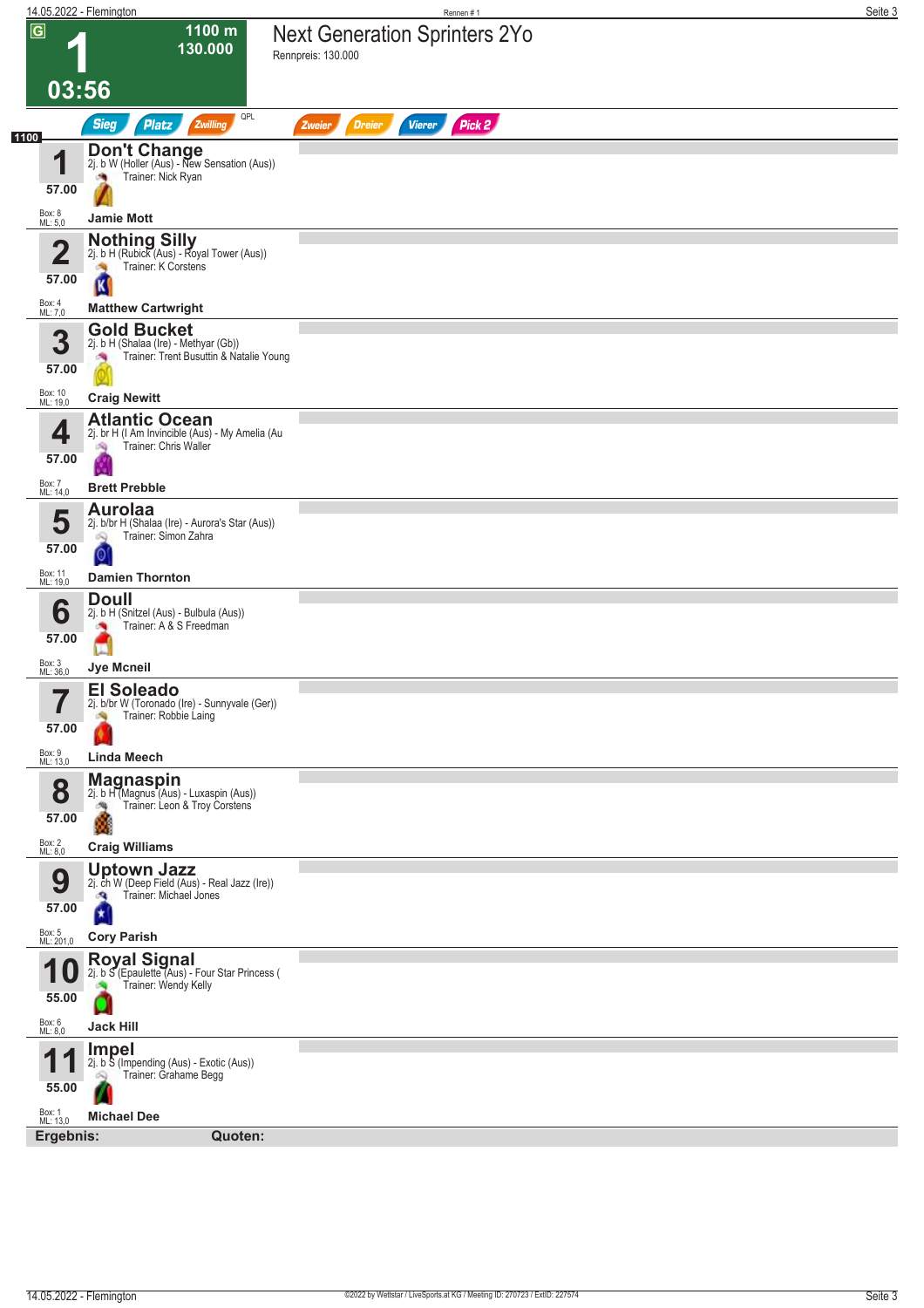|                                 | 14.05.2022 - Flemington                                                                                               | Rennen #1                                                  | Seite 3 |
|---------------------------------|-----------------------------------------------------------------------------------------------------------------------|------------------------------------------------------------|---------|
| $\overline{\mathsf{G}}$         | 1100 m<br>130.000                                                                                                     | <b>Next Generation Sprinters 2Yo</b><br>Rennpreis: 130.000 |         |
|                                 | 03:56                                                                                                                 |                                                            |         |
| 1100                            | QPL<br><b>Sieg</b><br><b>Platz</b><br>Zwilling                                                                        | Pick 2<br><b>Dreier</b><br><b>Vierer</b><br>Zweier         |         |
| 1<br>57.00<br>Box: 8            | <b>Don't Change</b><br>2j. b W (Holler (Aus) - New Sensation (Aus))<br>Trainer: Nick Ryan<br><b>Jamie Mott</b>        |                                                            |         |
| ML: 5,0                         |                                                                                                                       |                                                            |         |
| Ø<br>∠<br>57.00                 | Nothing Silly<br>2j. b H (Rubick (Aus) - Royal Tower (Aus))<br>Trainer: K Corstens<br>d.<br>K                         |                                                            |         |
| Box: 4<br>ML: 7,0               | <b>Matthew Cartwright</b>                                                                                             |                                                            |         |
| 3<br>57.00                      | <b>Gold Bucket</b><br>2j. b H (Shalaa (Ire) - Methyar (Gb))<br>Trainer: Trent Busuttin & Natalie Young<br>澚           |                                                            |         |
| Box: 10<br>ML: 19,0             | <b>Craig Newitt</b>                                                                                                   |                                                            |         |
| 4<br>57.00                      | <b>Atlantic Ocean</b><br>2j. br H (I Am Invincible (Aus) - My Amelia (Au<br>Trainer: Chris Waller<br>哅                |                                                            |         |
| Box: 7<br>ML: 14,0              | <b>Brett Prebble</b>                                                                                                  |                                                            |         |
| 5<br>57.00                      | <b>Aurolaa</b><br>2j. b/br H (Shalaa (Ire) - Aurora's Star (Aus))<br>Trainer: Simon Zahra<br>Q<br>0                   |                                                            |         |
| Box: 11<br>ML: 19,0             | <b>Damien Thornton</b>                                                                                                |                                                            |         |
| 6<br>57.00                      | <b>Doull</b><br>2j. b H (Snitzel (Aus) - Bulbula (Aus))<br>Trainer: A & S Freedman<br><b>CON</b>                      |                                                            |         |
| Box: 3<br>ML: 36,0              | Jye Mcneil                                                                                                            |                                                            |         |
| 7<br>57.00                      | <b>El Soleado</b><br>2j. b/br W (Toronado (Ire) - Sunnyvale (Ger))<br>Trainer: Robbie Laing                           |                                                            |         |
| Box: 9<br>ML: 13,0              | <b>Linda Meech</b>                                                                                                    |                                                            |         |
| 8<br>57.00<br>Box: 2<br>ML: 8,0 | <b>Magnaspin</b><br>2j. b H (Magnus (Aus) - Luxaspin (Aus))<br>Trainer: Leon & Troy Corstens<br><b>Craig Williams</b> |                                                            |         |
|                                 | <b>Uptown Jazz</b>                                                                                                    |                                                            |         |
| 9<br>57.00                      | 2j. ch W (Deep Field (Aus) - Real Jazz (Ire))<br>Trainer: Michael Jones<br>đ.<br>×                                    |                                                            |         |
| Box: 5<br>ML: 201,0             | <b>Cory Parish</b>                                                                                                    |                                                            |         |
| и<br>55.00                      | <b>Royal Signal</b><br>2j. b S (Epaulette (Aus) - Four Star Princess (<br>Trainer: Wendy Kelly                        |                                                            |         |
| Box: 6<br>ML: 8,0               | <b>Jack Hill</b>                                                                                                      |                                                            |         |
| 55.00                           | <b>Impel</b><br>2j. b S (Impending (Aus) - Exotic (Aus))<br>Trainer: Grahame Begg<br>Ŵ                                |                                                            |         |
| Box: 1<br>ML: 13,0<br>Ergebnis: | <b>Michael Dee</b><br>Quoten:                                                                                         |                                                            |         |
|                                 |                                                                                                                       |                                                            |         |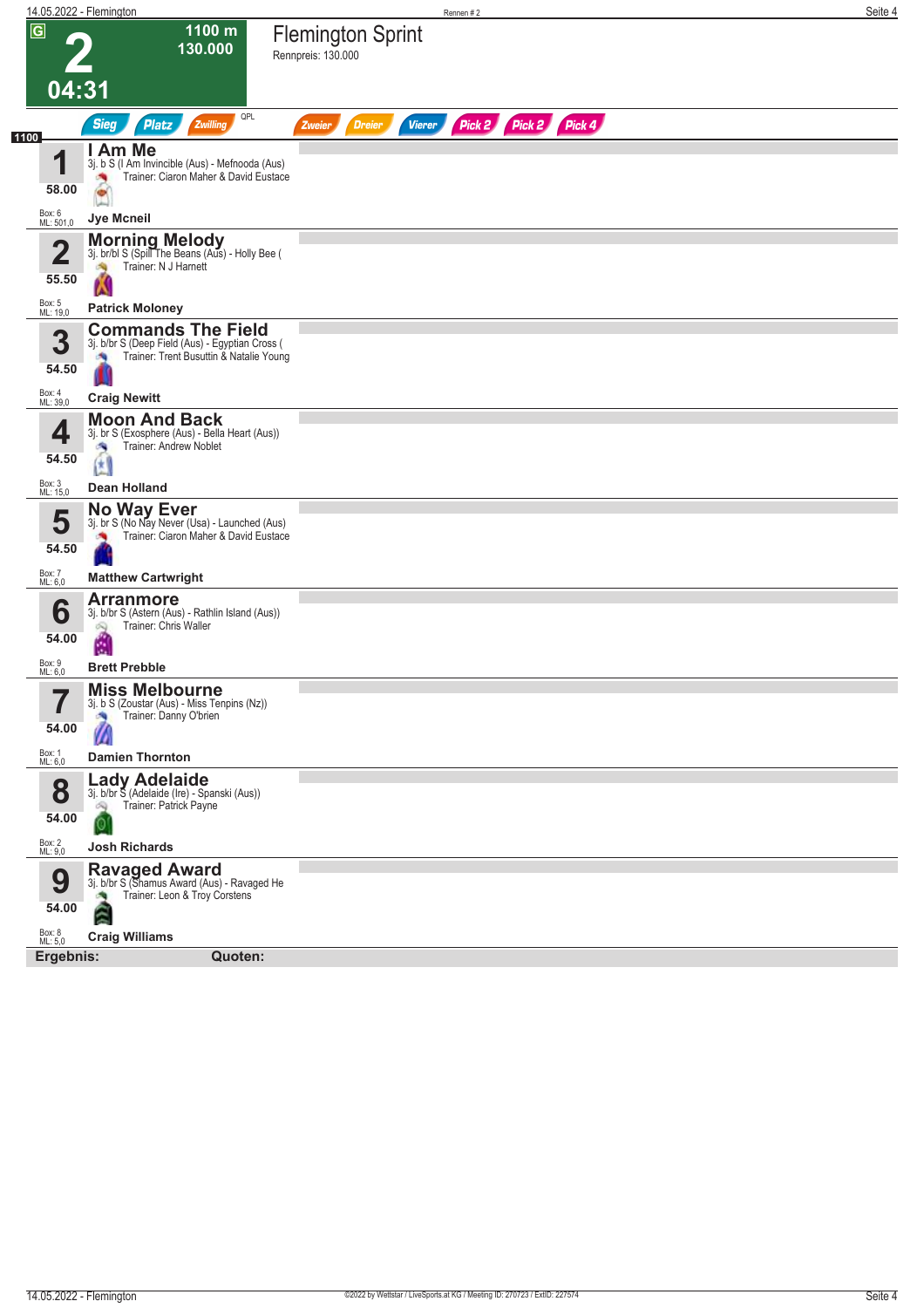| 1100 m<br>$\overline{G}$<br><b>Flemington Sprint</b><br>130.000<br>Rennpreis: 130.000<br>04:31<br>QPL<br>Pick 2 Pick 2 Pick 4<br><b>Sieg</b><br><b>Platz</b><br>Zwilling<br><b>Dreier</b><br><b>Vierer</b><br>Zweier<br>1100<br>I Am Me<br>1<br>3j. b S (I Am Invincible (Aus) - Mefnooda (Aus)<br>Trainer: Ciaron Maher & David Eustace<br>58.00<br>$\bullet$<br>Box: 6<br>Jye Mcneil<br>ML: 501,0<br><b>Morning Melody</b><br>$\overline{\mathbf{2}}$<br>3j. br/bl S (Spill The Beans (Aus) - Holly Bee (<br>Trainer: N J Harnett<br>55.50<br>Box: 5<br>ML: 19,0<br><b>Patrick Moloney</b><br><b>Commands The Field</b><br>3<br>3j. b/br S (Deep Field (Aus) - Egyptian Cross (<br>Trainer: Trent Busuttin & Natalie Young<br>×,<br>54.50<br>Box: 4<br>ML: 39,0<br><b>Craig Newitt</b><br><b>Moon And Back</b><br>3j. br S (Exosphere (Aus) - Bella Heart (Aus))<br>4<br>Trainer: Andrew Noblet<br>æ<br>54.50<br>ŒΙ<br>Box: 3<br>ML: 15,0<br>Dean Holland<br>No Way Ever<br>5<br>3j. br S (No Nay Never (Usa) - Launched (Aus)<br>Trainer: Ciaron Maher & David Eustace<br>54.50<br>Box: 7<br><b>Matthew Cartwright</b><br>ML: 6,0<br><b>Arranmore</b><br>6<br>3j. b/br S (Astern (Aus) - Rathlin Island (Aus))<br>Trainer: Chris Waller<br>Q<br>54.00<br>险<br>Box: 9<br><b>Brett Prebble</b><br>ML: 6,0<br><b>Miss Melbourne</b><br>5<br>3j. b S (Zoustar (Aus) - Miss Tenpins (Nz))<br>Trainer: Danny O'brien<br>×,<br>54.00<br>m<br>Box: 1<br>ML: 6,0<br><b>Damien Thornton</b><br><b>Lady Adelaide</b><br>8<br>3j. b/br S (Adelaide (Ire) - Spanski (Aus))<br>Trainer: Patrick Payne<br>óQ.<br>54.00<br>0<br>Box: 2<br>ML: 9,0<br><b>Josh Richards</b><br>Ravaged Award<br>3j. b/br S (Shamus Award (Aus) - Ravaged He<br>9<br>Trainer: Leon & Troy Corstens<br>54.00<br>ã<br>Box: 8<br>ML: 5,0<br><b>Craig Williams</b><br>Ergebnis: | 14.05.2022 - Flemington | Rennen#2 | Seite 4 |
|---------------------------------------------------------------------------------------------------------------------------------------------------------------------------------------------------------------------------------------------------------------------------------------------------------------------------------------------------------------------------------------------------------------------------------------------------------------------------------------------------------------------------------------------------------------------------------------------------------------------------------------------------------------------------------------------------------------------------------------------------------------------------------------------------------------------------------------------------------------------------------------------------------------------------------------------------------------------------------------------------------------------------------------------------------------------------------------------------------------------------------------------------------------------------------------------------------------------------------------------------------------------------------------------------------------------------------------------------------------------------------------------------------------------------------------------------------------------------------------------------------------------------------------------------------------------------------------------------------------------------------------------------------------------------------------------------------------------------------------------------------------------------------------------------------------------------------------------|-------------------------|----------|---------|
|                                                                                                                                                                                                                                                                                                                                                                                                                                                                                                                                                                                                                                                                                                                                                                                                                                                                                                                                                                                                                                                                                                                                                                                                                                                                                                                                                                                                                                                                                                                                                                                                                                                                                                                                                                                                                                             |                         |          |         |
|                                                                                                                                                                                                                                                                                                                                                                                                                                                                                                                                                                                                                                                                                                                                                                                                                                                                                                                                                                                                                                                                                                                                                                                                                                                                                                                                                                                                                                                                                                                                                                                                                                                                                                                                                                                                                                             |                         |          |         |
|                                                                                                                                                                                                                                                                                                                                                                                                                                                                                                                                                                                                                                                                                                                                                                                                                                                                                                                                                                                                                                                                                                                                                                                                                                                                                                                                                                                                                                                                                                                                                                                                                                                                                                                                                                                                                                             |                         |          |         |
|                                                                                                                                                                                                                                                                                                                                                                                                                                                                                                                                                                                                                                                                                                                                                                                                                                                                                                                                                                                                                                                                                                                                                                                                                                                                                                                                                                                                                                                                                                                                                                                                                                                                                                                                                                                                                                             |                         |          |         |
|                                                                                                                                                                                                                                                                                                                                                                                                                                                                                                                                                                                                                                                                                                                                                                                                                                                                                                                                                                                                                                                                                                                                                                                                                                                                                                                                                                                                                                                                                                                                                                                                                                                                                                                                                                                                                                             |                         |          |         |
|                                                                                                                                                                                                                                                                                                                                                                                                                                                                                                                                                                                                                                                                                                                                                                                                                                                                                                                                                                                                                                                                                                                                                                                                                                                                                                                                                                                                                                                                                                                                                                                                                                                                                                                                                                                                                                             |                         |          |         |
|                                                                                                                                                                                                                                                                                                                                                                                                                                                                                                                                                                                                                                                                                                                                                                                                                                                                                                                                                                                                                                                                                                                                                                                                                                                                                                                                                                                                                                                                                                                                                                                                                                                                                                                                                                                                                                             |                         |          |         |
|                                                                                                                                                                                                                                                                                                                                                                                                                                                                                                                                                                                                                                                                                                                                                                                                                                                                                                                                                                                                                                                                                                                                                                                                                                                                                                                                                                                                                                                                                                                                                                                                                                                                                                                                                                                                                                             |                         |          |         |
|                                                                                                                                                                                                                                                                                                                                                                                                                                                                                                                                                                                                                                                                                                                                                                                                                                                                                                                                                                                                                                                                                                                                                                                                                                                                                                                                                                                                                                                                                                                                                                                                                                                                                                                                                                                                                                             |                         |          |         |
|                                                                                                                                                                                                                                                                                                                                                                                                                                                                                                                                                                                                                                                                                                                                                                                                                                                                                                                                                                                                                                                                                                                                                                                                                                                                                                                                                                                                                                                                                                                                                                                                                                                                                                                                                                                                                                             |                         |          |         |
|                                                                                                                                                                                                                                                                                                                                                                                                                                                                                                                                                                                                                                                                                                                                                                                                                                                                                                                                                                                                                                                                                                                                                                                                                                                                                                                                                                                                                                                                                                                                                                                                                                                                                                                                                                                                                                             |                         |          |         |
|                                                                                                                                                                                                                                                                                                                                                                                                                                                                                                                                                                                                                                                                                                                                                                                                                                                                                                                                                                                                                                                                                                                                                                                                                                                                                                                                                                                                                                                                                                                                                                                                                                                                                                                                                                                                                                             |                         |          |         |
|                                                                                                                                                                                                                                                                                                                                                                                                                                                                                                                                                                                                                                                                                                                                                                                                                                                                                                                                                                                                                                                                                                                                                                                                                                                                                                                                                                                                                                                                                                                                                                                                                                                                                                                                                                                                                                             |                         |          |         |
|                                                                                                                                                                                                                                                                                                                                                                                                                                                                                                                                                                                                                                                                                                                                                                                                                                                                                                                                                                                                                                                                                                                                                                                                                                                                                                                                                                                                                                                                                                                                                                                                                                                                                                                                                                                                                                             |                         |          |         |
|                                                                                                                                                                                                                                                                                                                                                                                                                                                                                                                                                                                                                                                                                                                                                                                                                                                                                                                                                                                                                                                                                                                                                                                                                                                                                                                                                                                                                                                                                                                                                                                                                                                                                                                                                                                                                                             |                         |          |         |
|                                                                                                                                                                                                                                                                                                                                                                                                                                                                                                                                                                                                                                                                                                                                                                                                                                                                                                                                                                                                                                                                                                                                                                                                                                                                                                                                                                                                                                                                                                                                                                                                                                                                                                                                                                                                                                             |                         |          |         |
|                                                                                                                                                                                                                                                                                                                                                                                                                                                                                                                                                                                                                                                                                                                                                                                                                                                                                                                                                                                                                                                                                                                                                                                                                                                                                                                                                                                                                                                                                                                                                                                                                                                                                                                                                                                                                                             |                         |          |         |
|                                                                                                                                                                                                                                                                                                                                                                                                                                                                                                                                                                                                                                                                                                                                                                                                                                                                                                                                                                                                                                                                                                                                                                                                                                                                                                                                                                                                                                                                                                                                                                                                                                                                                                                                                                                                                                             |                         |          |         |
|                                                                                                                                                                                                                                                                                                                                                                                                                                                                                                                                                                                                                                                                                                                                                                                                                                                                                                                                                                                                                                                                                                                                                                                                                                                                                                                                                                                                                                                                                                                                                                                                                                                                                                                                                                                                                                             |                         |          |         |
|                                                                                                                                                                                                                                                                                                                                                                                                                                                                                                                                                                                                                                                                                                                                                                                                                                                                                                                                                                                                                                                                                                                                                                                                                                                                                                                                                                                                                                                                                                                                                                                                                                                                                                                                                                                                                                             | Quoten:                 |          |         |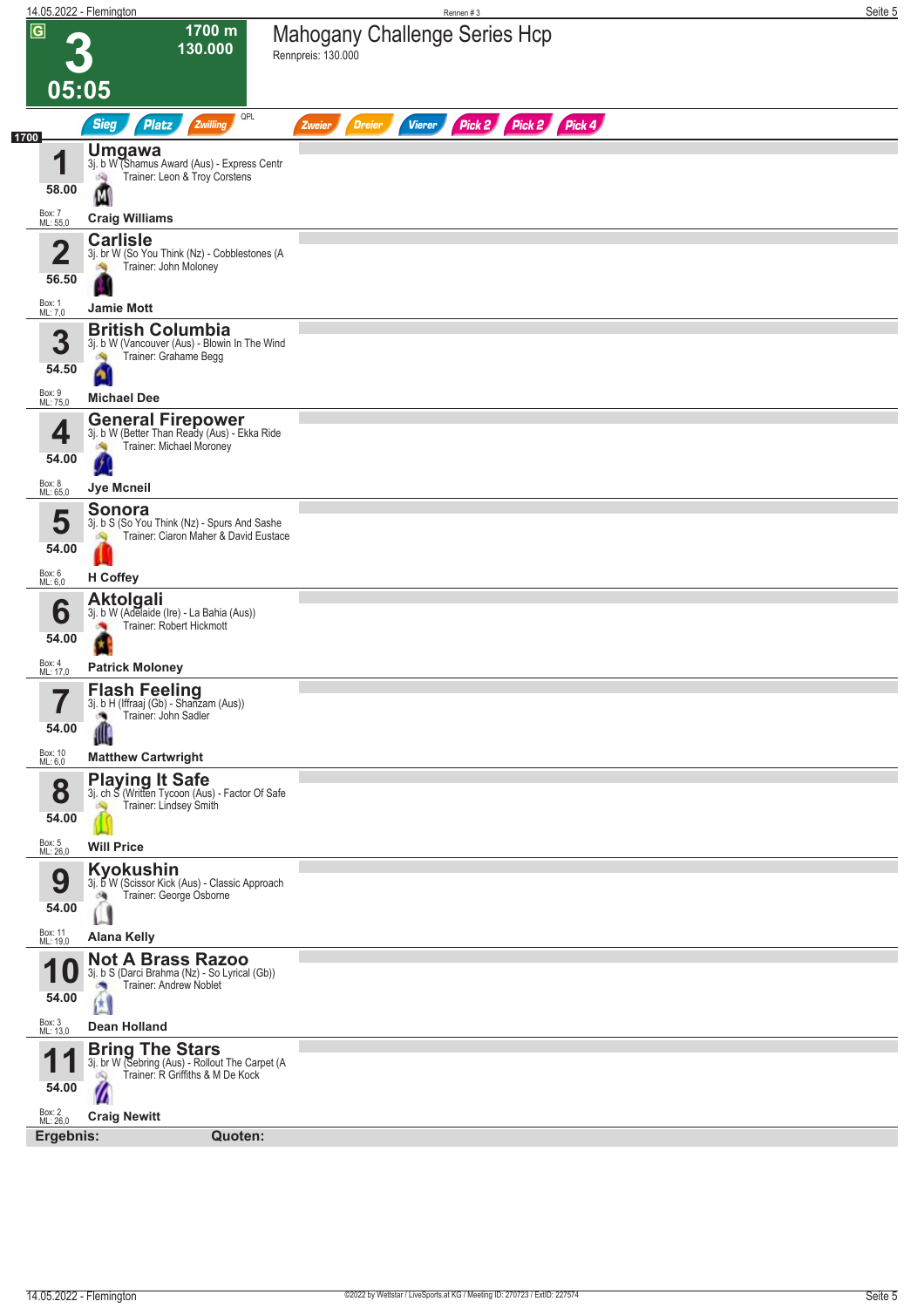|                                  | 14.05.2022 - Flemington                                                                                             |                                                     | Rennen #3               |                  | Seite 5 |
|----------------------------------|---------------------------------------------------------------------------------------------------------------------|-----------------------------------------------------|-------------------------|------------------|---------|
| $\overline{G}$<br>05:05          | 1700 m<br>130.000                                                                                                   | Mahogany Challenge Series Hcp<br>Rennpreis: 130.000 |                         |                  |         |
|                                  | QPL<br><b>Sieg</b><br>Zwilling<br><b>Platz</b>                                                                      | <b>Dreier</b><br>Zweier                             | Pick 2<br><b>Vierer</b> | Pick 4<br>Pick 2 |         |
| 1700<br>1<br>58.00               | <b>Umgawa</b><br>3j. b W (Shamus Award (Aus) - Express Centr<br>Trainer: Leon & Troy Corstens<br>询                  |                                                     |                         |                  |         |
| Box: 7<br>ML: 55,0               | М<br><b>Craig Williams</b>                                                                                          |                                                     |                         |                  |         |
|                                  | <b>Carlisle</b>                                                                                                     |                                                     |                         |                  |         |
| $\overline{\mathbf{2}}$<br>56.50 | 3j. br W (So You Think (Nz) - Cobblestones (A<br>Trainer: John Moloney                                              |                                                     |                         |                  |         |
| Box: 1<br>ML: 7,0                | <b>Jamie Mott</b>                                                                                                   |                                                     |                         |                  |         |
| 3                                | <b>British Columbia</b><br>3j. b W (Vancouver (Aus) - Blowin In The Wind<br>Trainer: Grahame Begg                   |                                                     |                         |                  |         |
| 54.50                            | ۵                                                                                                                   |                                                     |                         |                  |         |
| Box: 9<br>ML: 75,0               | <b>Michael Dee</b>                                                                                                  |                                                     |                         |                  |         |
| 4<br>54.00                       | <b>General Firepower</b><br>3j. b W (Better Than Ready (Aus) - Ekka Ride<br>Trainer: Michael Moroney                |                                                     |                         |                  |         |
| Box: 8<br>ML: 65,0               | Jye Mcneil                                                                                                          |                                                     |                         |                  |         |
| 5<br>54.00                       | Sonora<br>3j. b S (So You Think (Nz) - Spurs And Sashe<br>Trainer: Ciaron Maher & David Eustace                     |                                                     |                         |                  |         |
| Box: 6<br>ML: 6,0                | H Coffey                                                                                                            |                                                     |                         |                  |         |
| 6                                | <b>Aktolgali</b><br>3j. b W (Adelaide (Ire) - La Bahia (Aus))<br>Trainer: Robert Hickmott                           |                                                     |                         |                  |         |
| 54.00<br>Box: 4<br>ML: 17,0      | <b>Patrick Moloney</b>                                                                                              |                                                     |                         |                  |         |
| 7<br>I<br>54.00                  | Flash Feeling<br>3j. b H (Iffraaj (Gb) - Shanzam (Aus))<br>Trainer: John Sadler<br>J.<br>Ш                          |                                                     |                         |                  |         |
| Box: 10<br>ML: 6,0               | <b>Matthew Cartwright</b>                                                                                           |                                                     |                         |                  |         |
| 8<br>54.00                       | <b>Playing It Safe</b><br>3j. ch S (Written Tycoon (Aus) - Factor Of Safe<br>Trainer: Lindsey Smith<br>S.           |                                                     |                         |                  |         |
| Box: 5<br>ML: 26,0               | <b>Will Price</b>                                                                                                   |                                                     |                         |                  |         |
| 9<br>54.00                       | <b>Kyokushin</b><br>3j. b W (Scissor Kick (Aus) - Classic Approach<br>Trainer: George Osborne                       |                                                     |                         |                  |         |
| Box: 11<br>ML: 19,0              |                                                                                                                     |                                                     |                         |                  |         |
|                                  | <b>Alana Kelly</b><br><b>Not A Brass Razoo</b>                                                                      |                                                     |                         |                  |         |
| TU<br>54.00                      | 3j. b S (Darci Brahma (Nz) - So Lyrical (Gb))<br>Trainer: Andrew Noblet<br>囡                                        |                                                     |                         |                  |         |
| Box: 3<br>ML: 13,0               | <b>Dean Holland</b>                                                                                                 |                                                     |                         |                  |         |
| 1                                | <b>Bring The Stars</b><br>3j. br W (Sebring (Aus) - Rollout The Carpet (A<br>Trainer: R Griffiths & M De Kock<br>dQ |                                                     |                         |                  |         |
| 54.00<br>Box: 2<br>ML: 26,0      | Ø<br><b>Craig Newitt</b>                                                                                            |                                                     |                         |                  |         |
| Ergebnis:                        | Quoten:                                                                                                             |                                                     |                         |                  |         |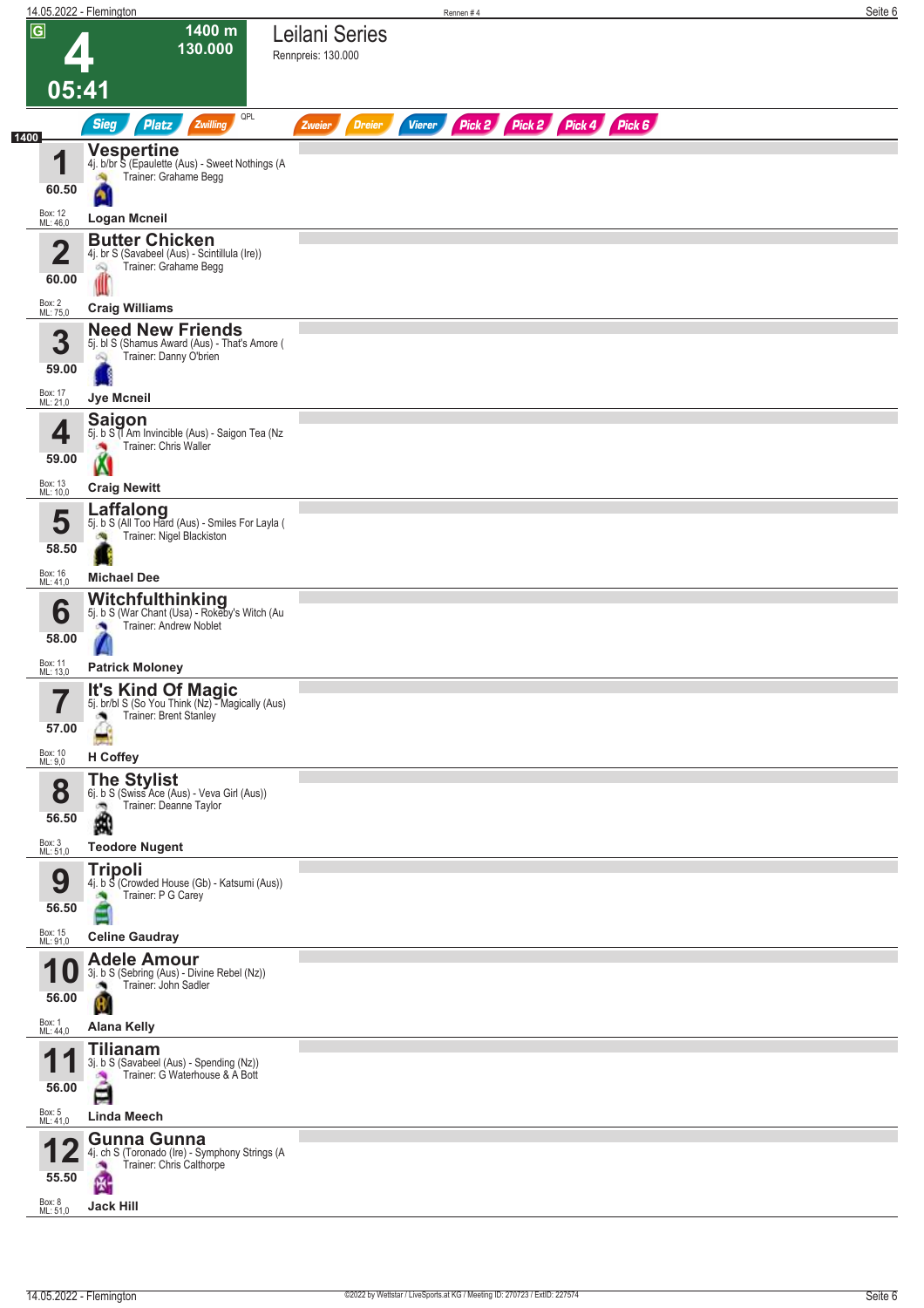|                             | 14.05.2022 - Flemington                                                                                                   | Rennen#4                                 |                             | Seite 6 |
|-----------------------------|---------------------------------------------------------------------------------------------------------------------------|------------------------------------------|-----------------------------|---------|
| $\overline{G}$              | 1400 m<br>130.000                                                                                                         | Leilani Series<br>Rennpreis: 130.000     |                             |         |
|                             | 05:41                                                                                                                     |                                          |                             |         |
|                             | QPL<br><b>Sieg</b><br><b>Platz</b><br>Zwilling                                                                            | <b>Vierer</b><br><b>Dreier</b><br>Zweier | Pick 2 Pick 2 Pick 4 Pick 6 |         |
| 1400<br>И<br>60.50          | <b>Vespertine</b><br>4j. b/br S (Epaulette (Aus) - Sweet Nothings (A<br>Trainer: Grahame Begg                             |                                          |                             |         |
| Box: 12<br>ML: 46,0         | <b>Logan Mcneil</b>                                                                                                       |                                          |                             |         |
| 2<br>60.00                  | <b>Butter Chicken</b><br>4j. br S (Savabeel (Aus) - Scintillula (Ire))<br>Trainer: Grahame Begg<br>ó.                     |                                          |                             |         |
| Box: 2<br>ML: 75,0          | <b>Craig Williams</b>                                                                                                     |                                          |                             |         |
| 3<br>59.00                  | <b>Need New Friends</b><br>5j. bl S (Shamus Award (Aus) - That's Amore (<br>Trainer: Danny O'brien<br>Q                   |                                          |                             |         |
| Box: 17<br>ML: 21,0         | Jye Mcneil                                                                                                                |                                          |                             |         |
| 4<br>59.00<br>Box: 13       | <b>Saigon</b><br>5j. b S <sup>7</sup> Am Invincible (Aus) - Saigon Tea (Nz<br>Trainer: Chris Waller                       |                                          |                             |         |
| ML: 10,0                    | <b>Craig Newitt</b>                                                                                                       |                                          |                             |         |
| 5<br>58.50                  | Laffalong<br>5j. b S (All Too Hard (Aus) - Smiles For Layla (<br>Trainer: Nigel Blackiston                                |                                          |                             |         |
| Box: 16<br>ML: 41,0         | <b>Michael Dee</b>                                                                                                        |                                          |                             |         |
| 6<br>58.00                  | Witchfulthinking<br>5j. b S (War Chant (Usa) - Rokeby's Witch (Au<br>Trainer: Andrew Noblet                               |                                          |                             |         |
| Box: 11<br>ML: 13,0         | <b>Patrick Moloney</b>                                                                                                    |                                          |                             |         |
| 7<br>H<br>57.00             | <b>It's Kind Of Magic</b><br>5j. br/bl S (So You Think (Nz) - Magically (Aus)<br>Trainer: Brent Stanley<br>۸              |                                          |                             |         |
| Box: 10<br>ML: 9,0          | H Coffey                                                                                                                  |                                          |                             |         |
| 8<br>56.50                  | <b>The Stylist</b><br>6j. b S (Swiss Ace (Aus) - Veva Girl (Aus))<br>Trainer: Deanne Taylor<br>ಾ<br>Ŵ                     |                                          |                             |         |
| Box: 3<br>ML: 51,0          | <b>Teodore Nugent</b>                                                                                                     |                                          |                             |         |
| 9<br>56.50                  | <b>Tripoli</b><br>4j. b S (Crowded House (Gb) - Katsumi (Aus))<br>Trainer: P G Carey                                      |                                          |                             |         |
| Box: 15<br>ML: 91,0         | <b>Celine Gaudray</b>                                                                                                     |                                          |                             |         |
| 56.00                       | <b>Adele Amour</b><br>3j. b S (Sebring (Aus) - Divine Rebel (Nz))<br>Trainer: John Sadler<br>θ                            |                                          |                             |         |
| Box: 1<br>ML: 44,0          | <b>Alana Kelly</b>                                                                                                        |                                          |                             |         |
| и<br>56.00                  | <b>Tilianam</b><br>3j. b S (Savabeel (Aus) - Spending (Nz))<br>Trainer: G Waterhouse & A Bott<br>⋿                        |                                          |                             |         |
| Box: 5<br>ML: 41,0          | Linda Meech                                                                                                               |                                          |                             |         |
| 55.50<br>Box: 8<br>ML: 51,0 | <b>Gunna Gunna</b><br>4j. ch S (Toronado (Ire) - Symphony Strings (A<br>Trainer: Chris Calthorpe<br>卧<br><b>Jack Hill</b> |                                          |                             |         |
|                             |                                                                                                                           |                                          |                             |         |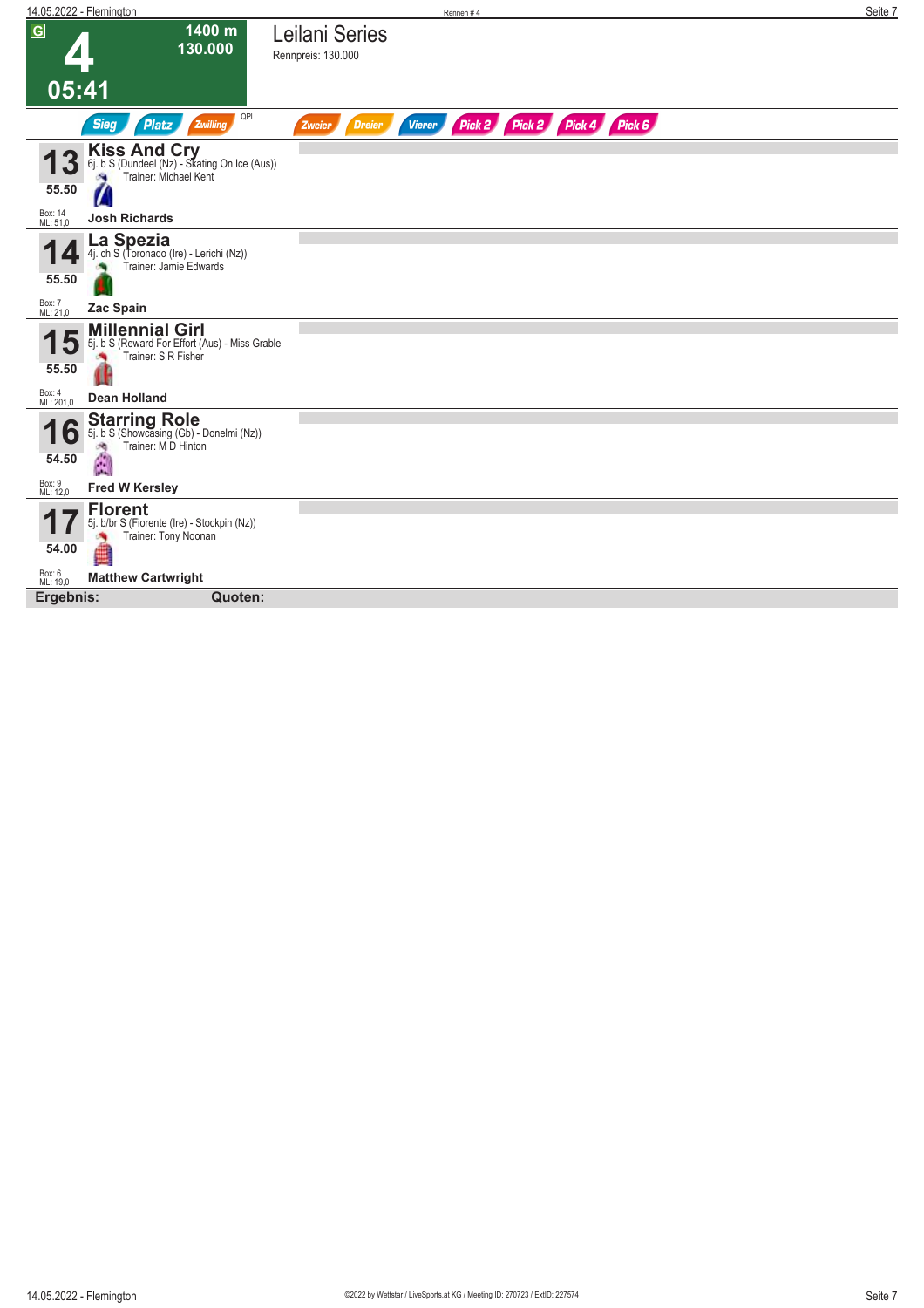|                     | 14.05.2022 - Flemington                                                                         |                                      | Rennen#4      |                             | Seite 7 |
|---------------------|-------------------------------------------------------------------------------------------------|--------------------------------------|---------------|-----------------------------|---------|
| $\sqrt{G}$          | 1400 m<br>130.000                                                                               | Leilani Series<br>Rennpreis: 130.000 |               |                             |         |
| 05:41               |                                                                                                 |                                      |               |                             |         |
|                     | QPL<br><b>Sieg</b><br><b>Platz</b><br>Zwilling                                                  | <b>Dreier</b><br>Zweier              | <b>Vierer</b> | Pick 2 Pick 2 Pick 4 Pick 6 |         |
|                     | <b>Kiss And Cry</b><br>6j. b S (Dundeel (Nz) - Skating On Ice (Aus))<br>Trainer: Michael Kent   |                                      |               |                             |         |
| 55.50               | 7                                                                                               |                                      |               |                             |         |
| Box: 14<br>ML: 51,0 | <b>Josh Richards</b>                                                                            |                                      |               |                             |         |
| 55.50               | La Spezia<br>4j. ch S (Toronado (Ire) - Lerichi (Nz))<br>Trainer: Jamie Edwards                 |                                      |               |                             |         |
| Box: 7<br>ML: 21,0  | Zac Spain                                                                                       |                                      |               |                             |         |
| 55.50               | <b>Millennial Girl</b><br>5j. b S (Reward For Effort (Aus) - Miss Grable<br>Trainer: S R Fisher |                                      |               |                             |         |
| Box: 4<br>ML: 201,0 | <b>Dean Holland</b>                                                                             |                                      |               |                             |         |
| O<br>54.50          | <b>Starring Role</b><br>5j. b S (Showcasing (Gb) - Donelmi (Nz))<br>Trainer: M D Hinton<br>đ.   |                                      |               |                             |         |
| Box: 9<br>ML: 12,0  | <b>Fred W Kersley</b>                                                                           |                                      |               |                             |         |
|                     | <b>Florent</b><br>5j. b/br S (Fiorente (Ire) - Stockpin (Nz))<br>Trainer: Tony Noonan           |                                      |               |                             |         |
| 54.00               |                                                                                                 |                                      |               |                             |         |
| Box: 6<br>ML: 19,0  | <b>Matthew Cartwright</b>                                                                       |                                      |               |                             |         |
| Ergebnis:           | Quoten:                                                                                         |                                      |               |                             |         |
|                     |                                                                                                 |                                      |               |                             |         |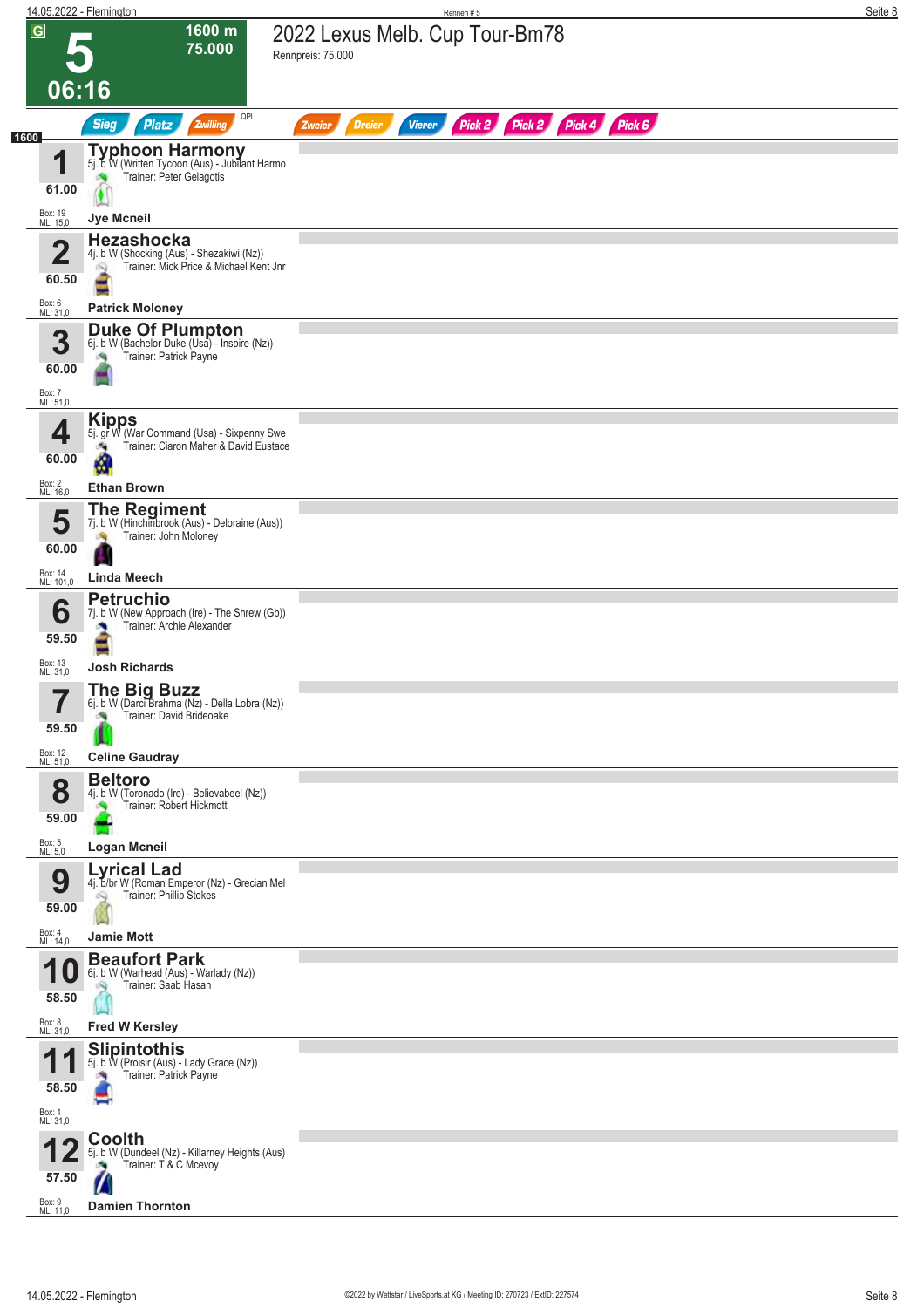|                                                | 14.05.2022 - Flemington                                                                                                   | Rennen#5                                                                | Seite 8 |
|------------------------------------------------|---------------------------------------------------------------------------------------------------------------------------|-------------------------------------------------------------------------|---------|
| $\overline{G}$<br>06:16                        | 1600 m<br>75.000                                                                                                          | 2022 Lexus Melb. Cup Tour-Bm78<br>Rennpreis: 75.000                     |         |
|                                                | QPL<br><b>Sieg</b><br>Zwilling<br><b>Platz</b>                                                                            | Pick 2 Pick 2 Pick 4 Pick 6<br><b>Vierer</b><br><b>Dreier</b><br>Zweier |         |
| 1600<br>1<br>61.00<br>Box: 19<br>ML: 15,0      | <b>Typhoon Harmony</b><br>5j. b W (Written Tycoon (Aus) - Jubilant Harmo<br>Trainer: Peter Gelagotis<br><b>Jye Mcneil</b> |                                                                         |         |
| $\mathbf{\Omega}$<br>$\blacktriangle$<br>60.50 | <b>Hezashocka</b><br>4j. b W (Shocking (Aus) - Shezakiwi (Nz))<br>Trainer: Mick Price & Michael Kent Jnr<br>$\infty$      |                                                                         |         |
| Box: 6<br>ML: 31,0                             | <b>Patrick Moloney</b>                                                                                                    |                                                                         |         |
| 3<br>60.00<br>Box: 7<br>ML: 51,0               | <b>Duke Of Plumpton</b><br>6j. b W (Bachelor Duke (Usa) - Inspire (Nz))<br>Trainer: Patrick Payne                         |                                                                         |         |
| 4<br>60.00                                     | <b>Kipps</b><br>5j. gr W (War Command (Usa) - Sixpenny Swe<br>Trainer: Ciaron Maher & David Eustace<br>a.<br>M            |                                                                         |         |
| Box: 2<br>ML: 16,0                             | <b>Ethan Brown</b>                                                                                                        |                                                                         |         |
| 5<br>60.00                                     | <b>The Regiment</b><br>7j. b W (Hinchinbrook (Aus) - Deloraine (Aus))<br>Trainer: John Moloney<br>淘                       |                                                                         |         |
| Box: 14<br>ML: 101,0                           | <b>Linda Meech</b>                                                                                                        |                                                                         |         |
| 6<br>59.50                                     | <b>Petruchio</b><br>7j. b W (New Approach (Ire) - The Shrew (Gb))<br>Trainer: Archie Alexander                            |                                                                         |         |
| Box: 13<br>ML: 31,0                            | <b>Josh Richards</b>                                                                                                      |                                                                         |         |
| 7<br>59.50                                     | The Big Buzz<br>6j. b W (Darci Brahma (Nz) - Della Lobra (Nz))<br>Trainer: David Brideoake<br>确                           |                                                                         |         |
| Box: 12<br>ML: 51,0                            | <b>Celine Gaudray</b>                                                                                                     |                                                                         |         |
| 8<br>59.00                                     | <b>Beltoro</b><br>4j. b W (Toronado (Ire) - Believabeel (Nz))<br>Trainer: Robert Hickmott                                 |                                                                         |         |
| Box: 5<br>ML: 5,0                              | <b>Logan Mcneil</b>                                                                                                       |                                                                         |         |
| 9<br>59.00                                     | <b>Lyrical Lad</b><br>4j. b/br W (Roman Emperor (Nz) - Grecian Mel<br>Trainer: Phillip Stokes                             |                                                                         |         |
| Box: 4<br>ML: 14,0                             | <b>Jamie Mott</b>                                                                                                         |                                                                         |         |
| А<br>58.50                                     | <b>Beaufort Park</b><br>6j. b W (Warhead (Aus) - Warlady (Nz))<br>Trainer: Saab Hasan                                     |                                                                         |         |
| Box: 8<br>ML: 31,0                             | <b>Fred W Kersley</b>                                                                                                     |                                                                         |         |
| И<br>58.50<br>Box: 1<br>ML: 31,0               | <b>Slipintothis</b><br>5j. b W (Proisir (Aus) - Lady Grace (Nz))<br>Trainer: Patrick Payne                                |                                                                         |         |
| 57.50                                          | Coolth<br>5j. b W (Dundeel (Nz) - Killarney Heights (Aus)<br>Trainer: T & C Mcevoy                                        |                                                                         |         |
| Box: 9<br>ML: 11,0                             | <b>Damien Thornton</b>                                                                                                    |                                                                         |         |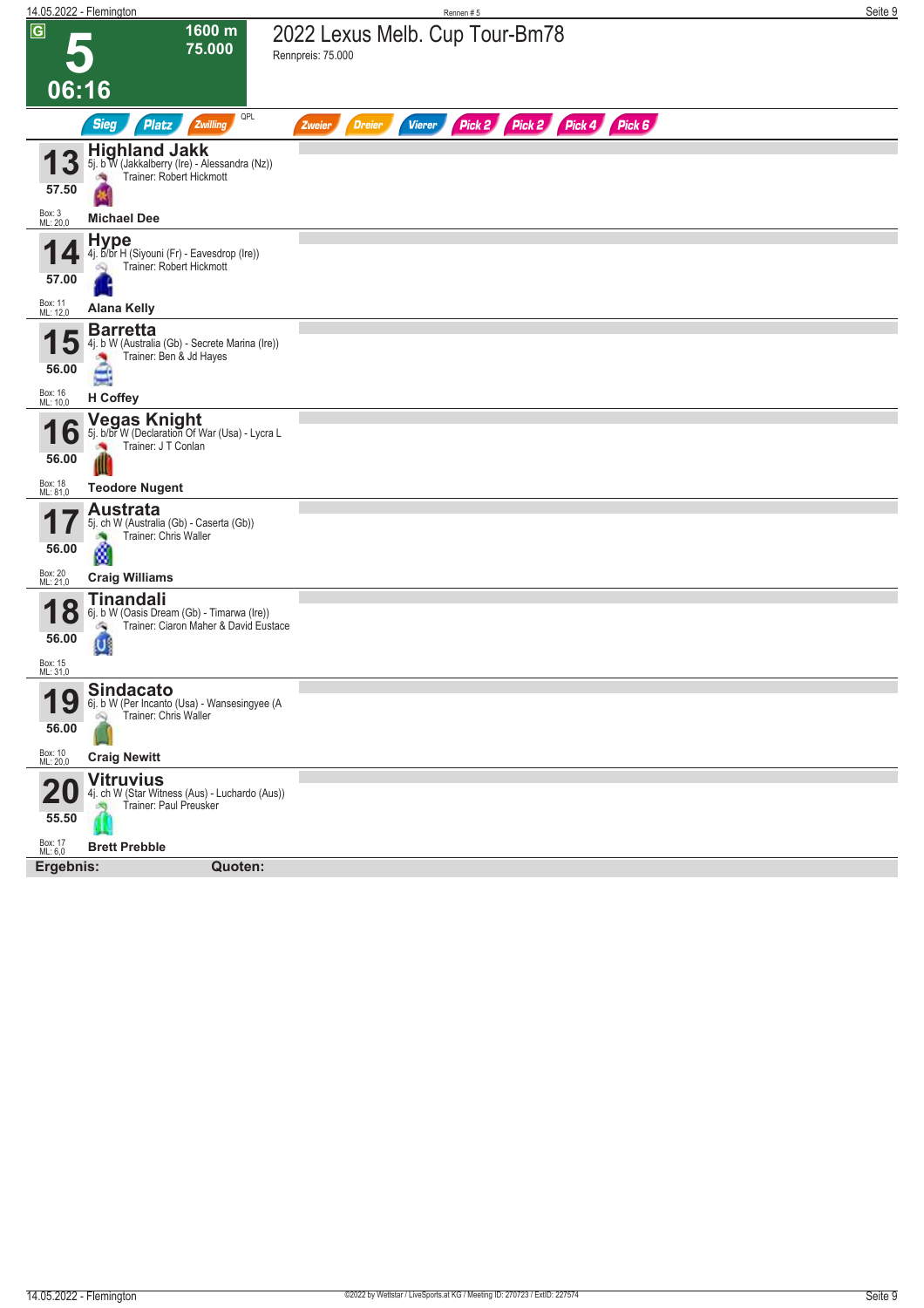| 14.05.2022 - Flemington                   |                                                                                                                            | Rennen#5                                                                | Seite 9 |
|-------------------------------------------|----------------------------------------------------------------------------------------------------------------------------|-------------------------------------------------------------------------|---------|
| $\overline{G}$                            | 1600 m<br>75.000                                                                                                           | 2022 Lexus Melb. Cup Tour-Bm78<br>Rennpreis: 75.000                     |         |
| 06:16                                     |                                                                                                                            |                                                                         |         |
|                                           | QPL<br><b>Sieg</b><br>Platz<br>Zwilling                                                                                    | Pick 2 Pick 2 Pick 4 Pick 6<br><b>Vierer</b><br><b>Dreier</b><br>Zweier |         |
| 57.50                                     | <b>Highland Jakk</b><br>5j. b W (Jakkalberry (Ire) - Alessandra (Nz))<br>Trainer: Robert Hickmott                          |                                                                         |         |
| Box: 3<br>ML: 20,0                        | <b>Michael Dee</b>                                                                                                         |                                                                         |         |
| 57.00<br>Box: 11<br>ML: 12,0              | <b>Hype</b><br>4j. b/br H (Siyouni (Fr) - Eavesdrop (Ire))<br>Trainer: Robert Hickmott<br><b>Alana Kelly</b>               |                                                                         |         |
|                                           |                                                                                                                            |                                                                         |         |
| 56.00                                     | <b>Barretta</b><br>4j. b W (Australia (Gb) - Secrete Marina (Ire))<br>Trainer: Ben & Jd Hayes<br>≘                         |                                                                         |         |
| Box: 16<br>ML: 10,0                       | <b>H</b> Coffey                                                                                                            |                                                                         |         |
| 0<br>56.00                                | <b>Vegas Knight</b><br>5j. b/br W (Declaration Of War (Usa) - Lycra L<br>Trainer: J T Conlan                               |                                                                         |         |
| Box: 18<br>ML: 81,0                       | <b>Teodore Nugent</b>                                                                                                      |                                                                         |         |
| 56.00                                     | <b>Austrata</b><br>5j. ch W (Australia (Gb) - Caserta (Gb))<br>Trainer: Chris Waller<br>۵                                  |                                                                         |         |
| Box: 20<br>ML: 21,0                       | <b>Craig Williams</b>                                                                                                      |                                                                         |         |
| <b>18</b><br>56.00<br>Box: 15<br>ML: 31,0 | <b>Tinandali</b><br>6j. b W (Oasis Dream (Gb) - Timarwa (Ire))<br>Trainer: Ciaron Maher & David Eustace<br>$\vert U \vert$ |                                                                         |         |
|                                           | <b>Sindacato</b>                                                                                                           |                                                                         |         |
| Q<br>1<br><u>i a</u><br>56.00             | 6j. b W (Per Incanto (Usa) - Wansesingyee (A<br>Trainer: Chris Waller<br>$\mathbb{R}$                                      |                                                                         |         |
| Box: 10<br>ML: 20,0                       | <b>Craig Newitt</b>                                                                                                        |                                                                         |         |
| 55.50<br>Box: 17<br>ML: 6,0               | <b>Vitruvius</b><br>4j. ch W (Star Witness (Aus) - Luchardo (Aus))<br>Trainer: Paul Preusker<br><b>Brett Prebble</b>       |                                                                         |         |
|                                           |                                                                                                                            |                                                                         |         |
| Ergebnis:                                 | Quoten:                                                                                                                    |                                                                         |         |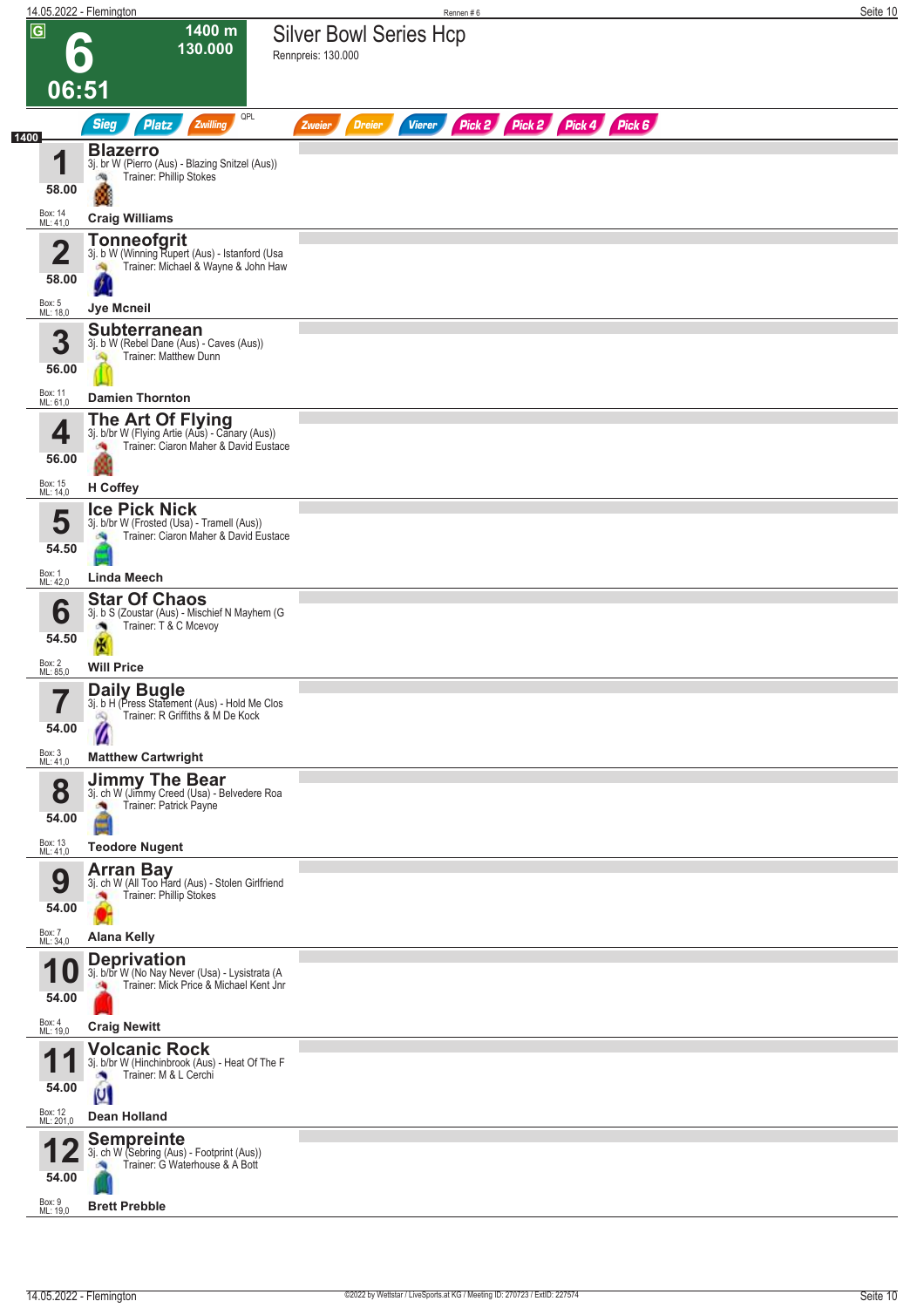|                                  | 14.05.2022 - Flemington                                                                                                  | Rennen#6                                                                | Seite 10 |
|----------------------------------|--------------------------------------------------------------------------------------------------------------------------|-------------------------------------------------------------------------|----------|
| $\overline{G}$                   | 1400 m<br>130.000                                                                                                        | <b>Silver Bowl Series Hcp</b><br>Rennpreis: 130.000                     |          |
|                                  | 06:51                                                                                                                    |                                                                         |          |
|                                  | QPL<br><b>Sieg</b><br>Zwilling<br><b>Platz</b>                                                                           | Pick 2 Pick 2 Pick 4 Pick 6<br><b>Vierer</b><br><b>Dreier</b><br>Zweier |          |
| 1400<br>И<br>58.00               | <b>Blazerro</b><br>3j. br W (Pierro (Aus) - Blazing Snitzel (Aus))<br>Trainer: Phillip Stokes<br>鸿                       |                                                                         |          |
| Box: 14<br>ML: 41,0              | <b>Craig Williams</b>                                                                                                    |                                                                         |          |
| $\overline{\mathbf{2}}$<br>58.00 | <b>Tonneofgrit</b><br>3j. b W (Winning Rupert (Aus) - Istanford (Usa<br>Trainer: Michael & Wayne & John Haw<br>肉         |                                                                         |          |
| Box: 5<br>ML: 18,0               | Jye Mcneil                                                                                                               |                                                                         |          |
| 3<br>56.00                       | <b>Subterranean</b><br>3j. b W (Rebel Dane (Aus) - Caves (Aus))<br>Trainer: Matthew Dunn<br>S)                           |                                                                         |          |
| Box: 11<br>ML: 61,0              | <b>Damien Thornton</b>                                                                                                   |                                                                         |          |
| 4<br>56.00<br>Box: 15            | The Art Of Flying<br>3j. b/br W (Flying Artie (Aus) - Canary (Aus))<br>Trainer: Ciaron Maher & David Eustace<br>H Coffey |                                                                         |          |
| ML: 14,0                         | <b>Ice Pick Nick</b>                                                                                                     |                                                                         |          |
| 5<br>54.50                       | 3j. b/br W (Frosted (Usa) - Tramell (Aus))<br>Trainer: Ciaron Maher & David Eustace                                      |                                                                         |          |
| Box: 1<br>ML: 42,0               | <b>Linda Meech</b>                                                                                                       |                                                                         |          |
| 6<br>54.50                       | <b>Star Of Chaos</b><br>3j. b S (Zoustar (Aus) - Mischief N Mayhem (G<br>Trainer: T & C Mcevoy<br>×                      |                                                                         |          |
| Box: 2<br>ML: 85,0               | <b>Will Price</b>                                                                                                        |                                                                         |          |
| 7<br>$\blacksquare$<br>54.00     | Daily Bugle<br>3j. b H (Press Statement (Aus) - Hold Me Clos<br>Trainer: R Griffiths & M De Kock<br>dQ.                  |                                                                         |          |
| Box: 3<br>ML: 41,0               | <b>Matthew Cartwright</b>                                                                                                |                                                                         |          |
| 8<br>54.00                       | <b>Jimmy The Bear</b><br>3j. ch W (Jimmy Creed (Usa) - Belvedere Roa<br>Trainer: Patrick Payne<br>×.                     |                                                                         |          |
| Box: 13<br>ML: 41,0              | <b>Teodore Nugent</b>                                                                                                    |                                                                         |          |
| 9<br>54.00<br>Box: 7<br>ML: 34,0 | <b>Arran Bay</b><br>3j. ch W (All Too Hard (Aus) - Stolen Girlfriend<br>Trainer: Phillip Stokes<br><b>Alana Kelly</b>    |                                                                         |          |
|                                  | <b>Deprivation</b>                                                                                                       |                                                                         |          |
| 54.00                            | 3j. b/br W (No Nay Never (Usa) - Lysistrata (A<br>Trainer: Mick Price & Michael Kent Jnr                                 |                                                                         |          |
| Box: 4<br>ML: 19,0               | <b>Craig Newitt</b>                                                                                                      |                                                                         |          |
| И<br>54.00                       | <b>Volcanic Rock</b><br>3j. b/br W (Hinchinbrook (Aus) - Heat Of The F<br>Trainer: M & L Cerchi<br>U                     |                                                                         |          |
| Box: 12<br>ML: 201,0             | Dean Holland                                                                                                             |                                                                         |          |
| 54.00                            | <b>Sempreinte</b><br>3j. ch W (Sebring (Aus) - Footprint (Aus))<br>Trainer: G Waterhouse & A Bott                        |                                                                         |          |
| Box: 9<br>ML: 19.0               | <b>Brett Prebble</b>                                                                                                     |                                                                         |          |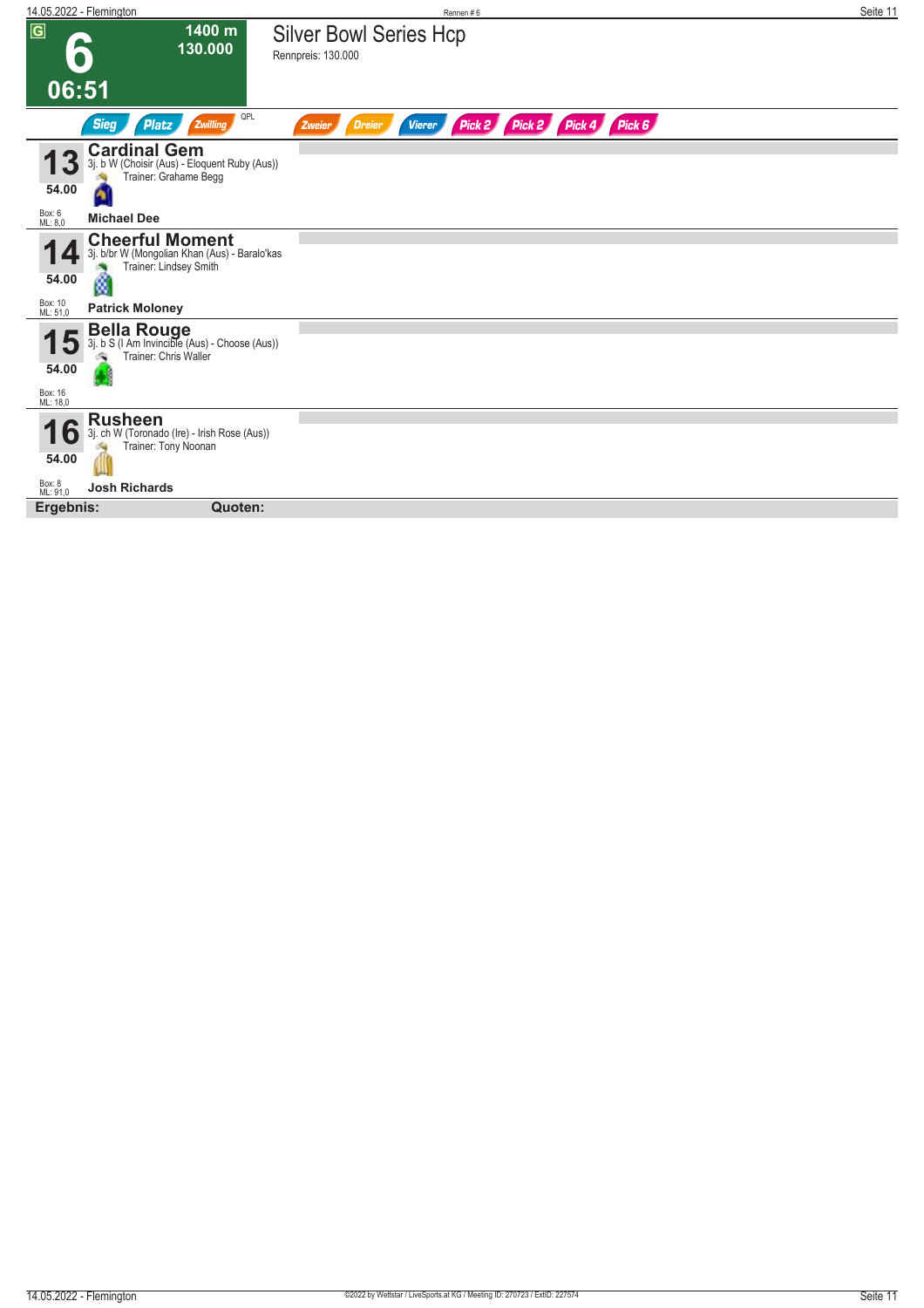| 14.05.2022 - Flemington                       |                                                                                                   |                                                     | Rennen#6      |                             | Seite 11 |
|-----------------------------------------------|---------------------------------------------------------------------------------------------------|-----------------------------------------------------|---------------|-----------------------------|----------|
| $\overline{G}$<br>b                           | 1400 m<br>130.000                                                                                 | <b>Silver Bowl Series Hcp</b><br>Rennpreis: 130.000 |               |                             |          |
| 06:51                                         |                                                                                                   |                                                     |               |                             |          |
| <b>Sieg</b><br><b>Platz</b>                   | QPL<br>Zwilling                                                                                   | Dreier<br>Zweier                                    | <b>Vierer</b> | Pick 2 Pick 2 Pick 4 Pick 6 |          |
| <b>Cardinal Gem</b><br>3<br>54.00<br>۵        | 3j. b W (Choisir (Aus) - Eloquent Ruby (Aus))<br>Trainer: Grahame Begg                            |                                                     |               |                             |          |
| Box: 6<br>ML: 8,0<br><b>Michael Dee</b>       |                                                                                                   |                                                     |               |                             |          |
| 54.00<br>ø                                    | <b>Cheerful Moment</b><br>3j. b/br W (Mongolian Khan (Aus) - Baralo'kas<br>Trainer: Lindsey Smith |                                                     |               |                             |          |
| Box: 10<br>ML: 51,0<br><b>Patrick Moloney</b> |                                                                                                   |                                                     |               |                             |          |
| 54.00<br>Box: 16<br>ML: 18,0                  | <b>Bella Rouge</b><br>3j. b S (I Am Invincible (Aus) - Choose (Aus))<br>Trainer: Chris Waller     |                                                     |               |                             |          |
| <b>Rusheen</b><br>۰<br>54.00                  | 3j. ch W (Toronado (Ire) - Irish Rose (Aus))<br>Trainer: Tony Noonan                              |                                                     |               |                             |          |
| Box: 8<br>ML: 91,0<br><b>Josh Richards</b>    |                                                                                                   |                                                     |               |                             |          |
| Ergebnis:                                     | Quoten:                                                                                           |                                                     |               |                             |          |
|                                               |                                                                                                   |                                                     |               |                             |          |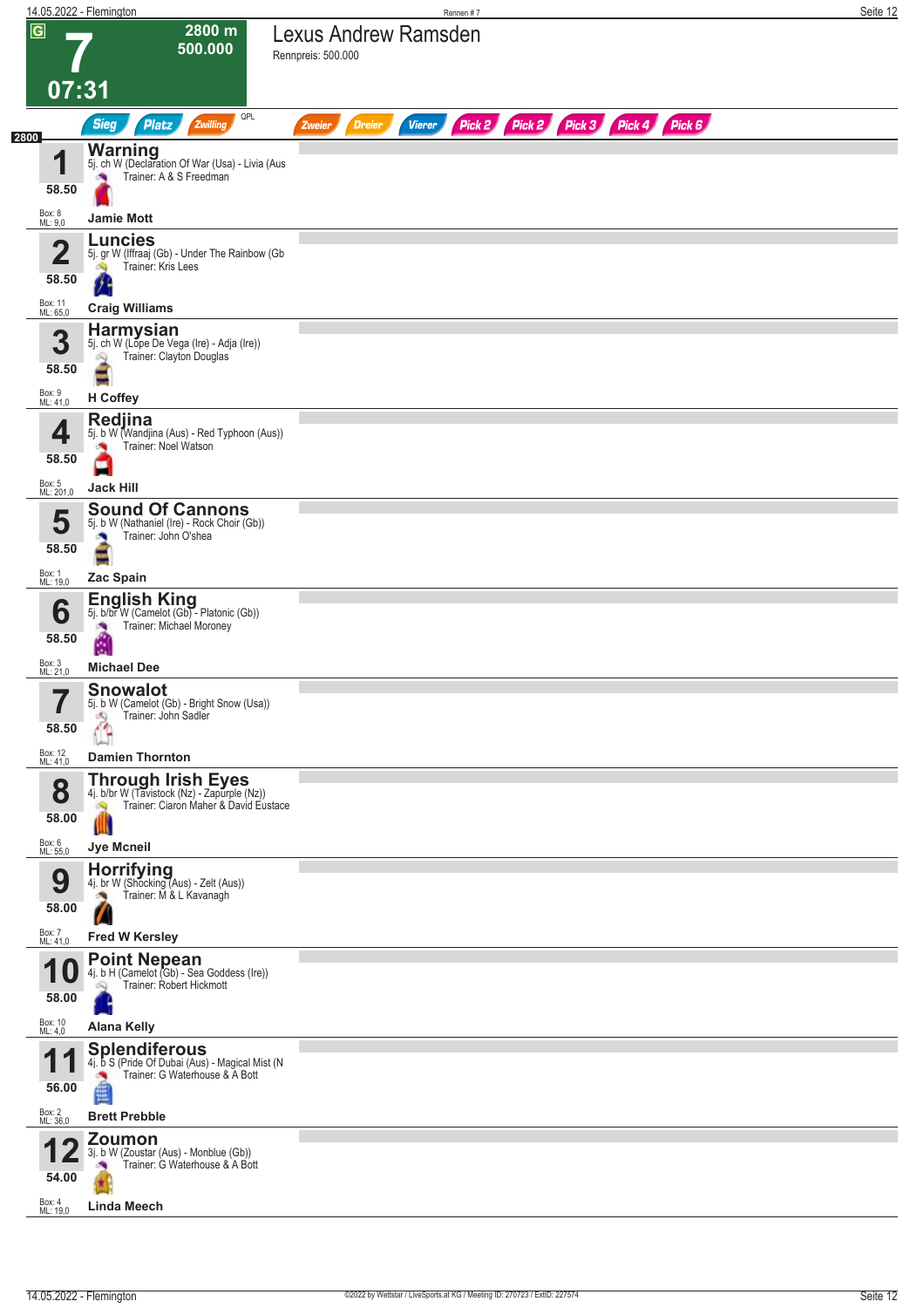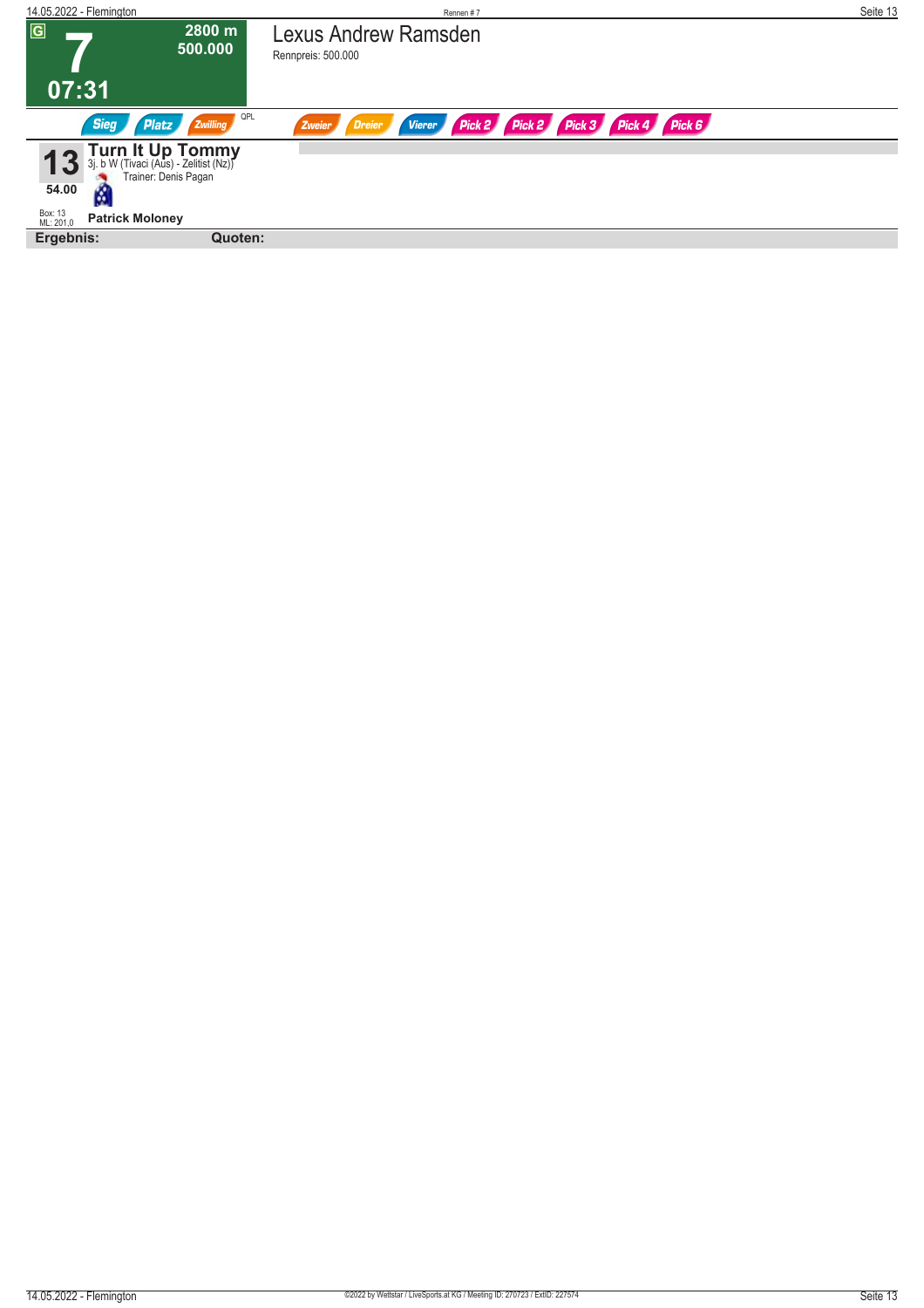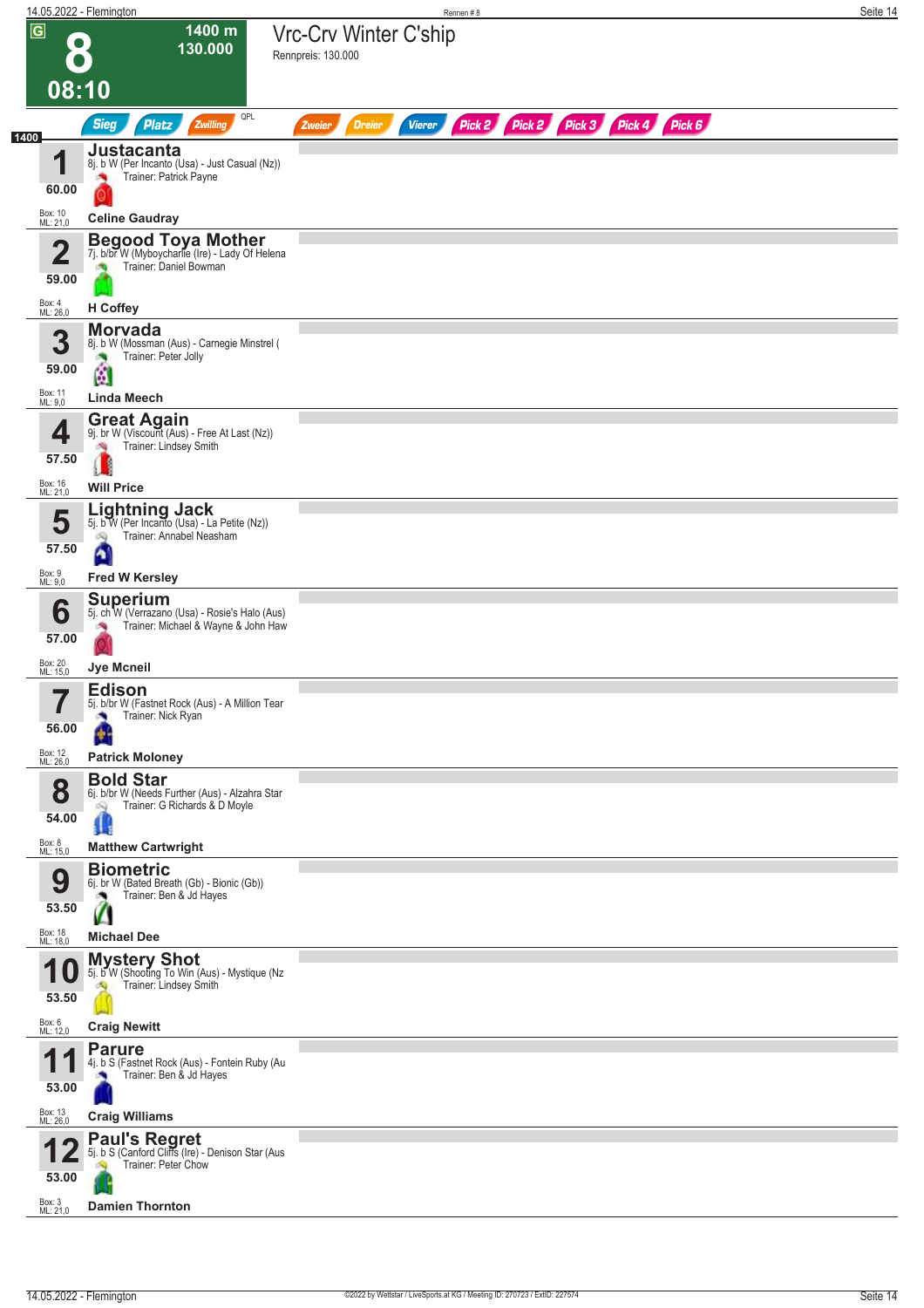| 14.05.2022 - Flemington                                                                                                                                                                               | Rennen #8                                                                         | Seite 14 |
|-------------------------------------------------------------------------------------------------------------------------------------------------------------------------------------------------------|-----------------------------------------------------------------------------------|----------|
| $\overline{G}$<br>1400 m<br>130.000<br>08:10                                                                                                                                                          | Vrc-Crv Winter C'ship<br>Rennpreis: 130.000                                       |          |
| QPL<br><b>Sieg</b><br>Zwilling<br><b>Platz</b><br>1400                                                                                                                                                | Pick 2 Pick 3 Pick 4 Pick 6<br>Pick 2<br><b>Dreier</b><br><b>Vierer</b><br>Zweier |          |
| Justacanta<br>4<br>8j. b W (Per Incanto (Usa) - Just Casual (Nz))<br>Trainer: Patrick Payne<br>×<br>60.00<br>Box: 10<br>ML: 21,0<br><b>Celine Gaudray</b>                                             |                                                                                   |          |
| <b>Begood Toya Mother</b><br>7j. b/br W (Myboycharlie (Ire) - Lady Of Helena<br>$\overline{\mathbf{2}}$<br>Trainer: Daniel Bowman<br>59.00                                                            |                                                                                   |          |
| Box: 4<br>ML: 26,0<br>H Coffey<br><b>Morvada</b><br>3<br>8j. b W (Mossman (Aus) - Carnegie Minstrel (<br>Trainer: Peter Jolly<br>×,<br>59.00<br>薗<br>Box: 11<br><b>Linda Meech</b>                    |                                                                                   |          |
| ML: 9,0<br><b>Great Again</b><br>9j. br W (Viscount (Aus) - Free At Last (Nz))<br>4<br>Trainer: Lindsey Smith<br>鸬<br>57.50<br>Box: 16<br>ML: 21,0<br><b>Will Price</b>                               |                                                                                   |          |
| <b>Lightning Jack</b><br>5<br>5j. b W (Per Incanto (Usa) - La Petite (Nz))<br>Trainer: Annabel Neasham<br>ഘ<br>57.50<br>Ą<br>Box: 9<br>ML: 9,0<br><b>Fred W Kersley</b>                               |                                                                                   |          |
| <b>Superium</b><br>6<br>5j. ch W (Verrazano (Usa) - Rosie's Halo (Aus)<br>Trainer: Michael & Wayne & John Haw<br>×<br>57.00<br>Box: 20                                                                |                                                                                   |          |
| <b>Jye Mcneil</b><br>ML: 15,0<br><b>Edison</b><br>$\rightarrow$<br>5j. b/br W (Fastnet Rock (Aus) - A Million Tear<br>Trainer: Nick Ryan<br>56.00<br>٠                                                |                                                                                   |          |
| Box: 12<br>ML: 26,0<br><b>Patrick Moloney</b>                                                                                                                                                         |                                                                                   |          |
| <b>Bold Star</b><br>8<br>6j. b/br W (Needs Further (Aus) - Alzahra Star<br>Trainer: G Richards & D Moyle<br>Q<br>54.00<br>Ш<br>Box: 8<br>ML: 15,0<br><b>Matthew Cartwright</b>                        |                                                                                   |          |
| <b>Biometric</b><br>9<br>6j. br W (Bated Breath (Gb) - Bionic (Gb))<br>Trainer: Ben & Jd Hayes<br>53.50<br>Box: 18<br>ML: 18,0<br><b>Michael Dee</b>                                                  |                                                                                   |          |
| <b>Mystery Shot</b><br>и<br>5j. b W (Shooting To Win (Aus) - Mystique (Nz<br>Trainer: Lindsey Smith<br>53.50                                                                                          |                                                                                   |          |
| Box: 6<br>ML: 12,0<br><b>Craig Newitt</b><br><b>Parure</b><br>И<br>4j. b S (Fastnet Rock (Aus) - Fontein Ruby (Au<br>Trainer: Ben & Jd Hayes<br>53.00<br>Box: 13<br>ML: 26,0<br><b>Craig Williams</b> |                                                                                   |          |
| <b>Paul's Regret</b><br>5j. b S (Canford Cliffs (Ire) - Denison Star (Aus<br>Trainer: Peter Chow<br>53.00<br>Box: 3<br>ML: 21,0<br><b>Damien Thornton</b>                                             |                                                                                   |          |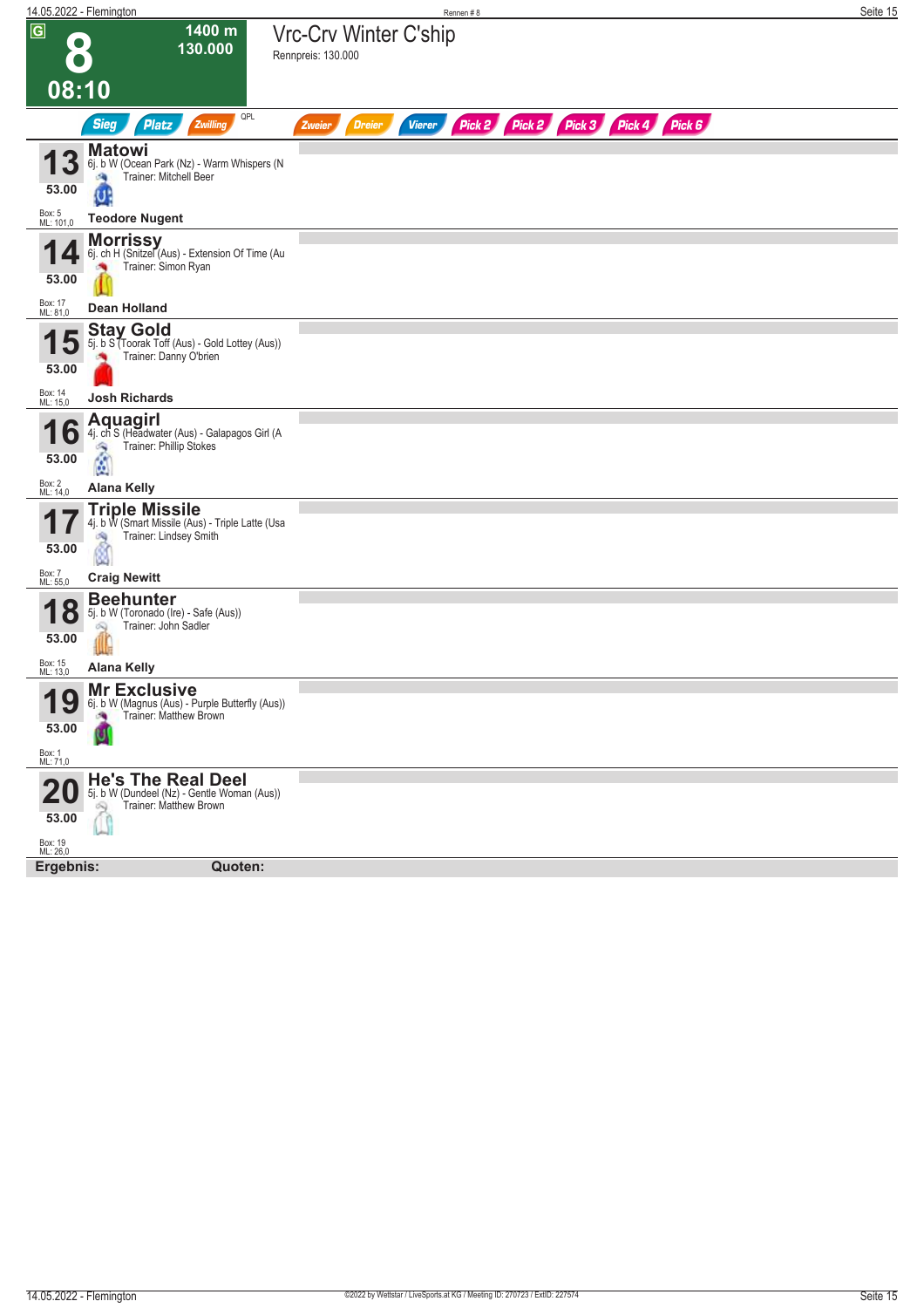| 14.05.2022 - Flemington |                                                                            | Rennen#8                                                                       | Seite 15 |
|-------------------------|----------------------------------------------------------------------------|--------------------------------------------------------------------------------|----------|
| $\overline{G}$          | 1400 m                                                                     | Vrc-Crv Winter C'ship                                                          |          |
| $\bullet$               | 130.000                                                                    |                                                                                |          |
|                         |                                                                            | Rennpreis: 130.000                                                             |          |
|                         |                                                                            |                                                                                |          |
| 08:10                   |                                                                            |                                                                                |          |
|                         | QPL<br><b>Sieg</b><br><b>Platz</b><br>Zwilling                             | Pick 2 Pick 2 Pick 3 Pick 4 Pick 6<br><b>Vierer</b><br><b>Dreier</b><br>Zweier |          |
|                         | <b>Matowi</b>                                                              |                                                                                |          |
|                         | 6j. b W (Ocean Park (Nz) - Warm Whispers (N<br>Trainer: Mitchell Beer<br>æ |                                                                                |          |
| 53.00                   | U                                                                          |                                                                                |          |
|                         |                                                                            |                                                                                |          |
| Box: 5<br>ML: 101,0     | <b>Teodore Nugent</b>                                                      |                                                                                |          |
| q                       | <b>Morrissy</b><br>6j. ch H (Snitzel (Aus) - Extension Of Time (Au         |                                                                                |          |
|                         | Trainer: Simon Ryan                                                        |                                                                                |          |
| 53.00                   |                                                                            |                                                                                |          |
|                         |                                                                            |                                                                                |          |
| Box: 17<br>ML: 81,0     | Dean Holland                                                               |                                                                                |          |
|                         | <b>Stay Gold</b><br>5j. b S (Toorak Toff (Aus) - Gold Lottey (Aus))        |                                                                                |          |
|                         | Trainer: Danny O'brien                                                     |                                                                                |          |
| 53.00                   |                                                                            |                                                                                |          |
| Box: 14<br>ML: 15,0     | <b>Josh Richards</b>                                                       |                                                                                |          |
|                         | Aquagirl                                                                   |                                                                                |          |
| O                       | 4j. ch S (Headwater (Aus) - Galapagos Girl (A                              |                                                                                |          |
| 53.00                   | Trainer: Phillip Stokes<br>$\frac{2}{2}$                                   |                                                                                |          |
|                         |                                                                            |                                                                                |          |
| Box: 2<br>ML: 14,0      | <b>Alana Kelly</b>                                                         |                                                                                |          |
|                         | <b>Triple Missile</b>                                                      |                                                                                |          |
| 1                       | 4j. b W (Smart Missile (Aus) - Triple Latte (Usa<br>Trainer: Lindsey Smith |                                                                                |          |
| 53.00                   | đ9<br>Ø                                                                    |                                                                                |          |
|                         |                                                                            |                                                                                |          |
| Box: 7<br>ML: 55,0      | <b>Craig Newitt</b>                                                        |                                                                                |          |
|                         | <b>Beehunter</b>                                                           |                                                                                |          |
| <b>18</b>               | 5j. b W (Toronado (Ire) - Safe (Aus))<br>Trainer: John Sadler<br>Q         |                                                                                |          |
| 53.00                   |                                                                            |                                                                                |          |
|                         |                                                                            |                                                                                |          |
| Box: 15<br>ML: 13,0     | <b>Alana Kelly</b>                                                         |                                                                                |          |
| Q<br>1                  | <b>Mr Exclusive</b><br>6j. b W (Magnus (Aus) - Purple Butterfly (Aus))     |                                                                                |          |
| I J                     | Trainer: Matthew Brown                                                     |                                                                                |          |
| 53.00                   |                                                                            |                                                                                |          |
| Box: 1<br>ML: 71,0      |                                                                            |                                                                                |          |
|                         |                                                                            |                                                                                |          |
|                         | <b>He's The Real Deel</b><br>5j. b W (Dundeel (Nz) - Gentle Woman (Aus))   |                                                                                |          |
|                         | Trainer: Matthew Brown                                                     |                                                                                |          |
| 53.00                   |                                                                            |                                                                                |          |
| Box: 19<br>ML: 26,0     |                                                                            |                                                                                |          |
| Ergebnis:               | Quoten:                                                                    |                                                                                |          |
|                         |                                                                            |                                                                                |          |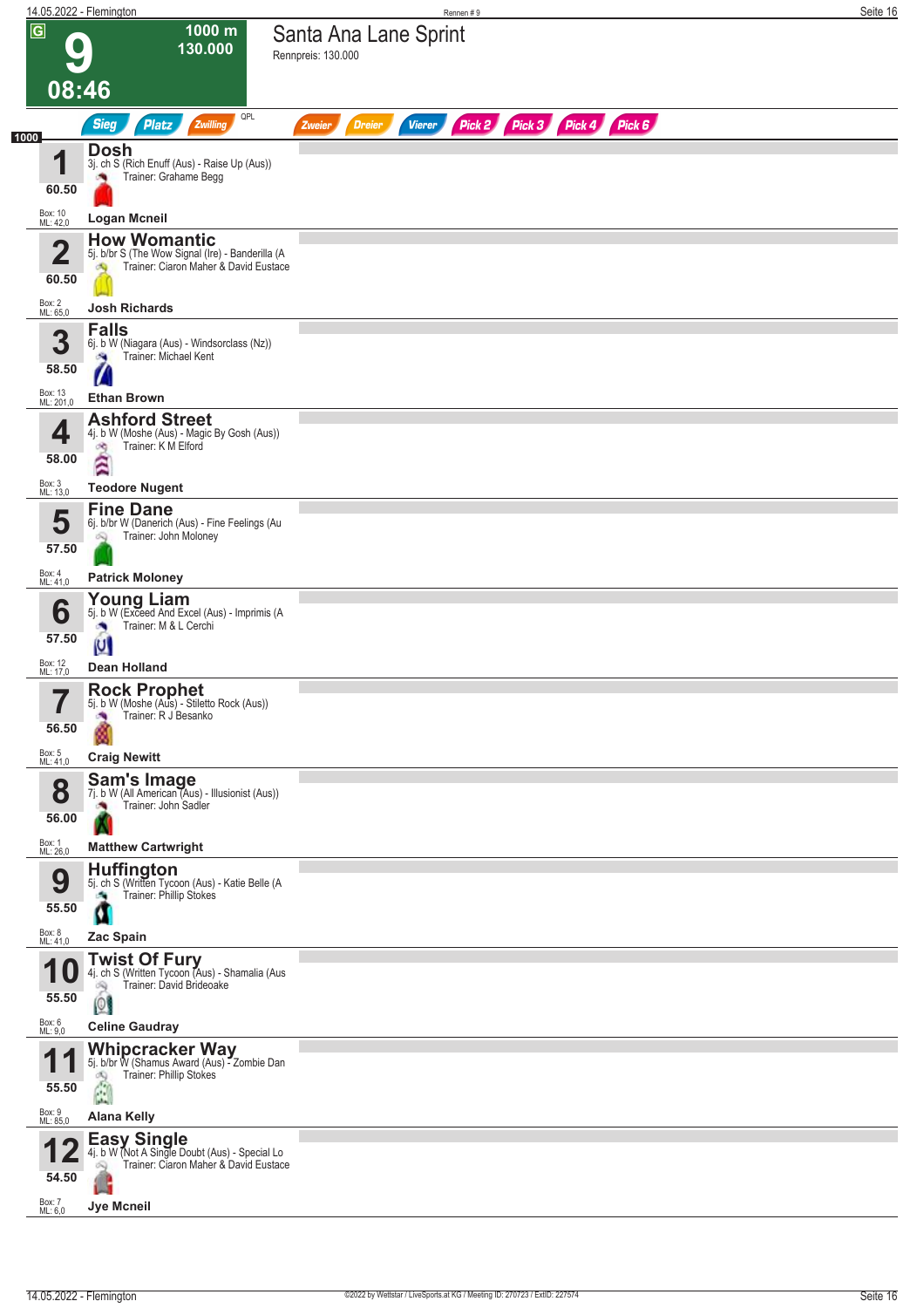|                |                                  | 14.05.2022 - Flemington                                                                                                                     | Rennen#9                                                                | Seite 16 |
|----------------|----------------------------------|---------------------------------------------------------------------------------------------------------------------------------------------|-------------------------------------------------------------------------|----------|
| $\overline{G}$ |                                  | 1000 m<br>130.000                                                                                                                           | Santa Ana Lane Sprint<br>Rennpreis: 130.000                             |          |
|                | 08:46                            |                                                                                                                                             |                                                                         |          |
|                |                                  | QPL<br><b>Sieg</b><br>Zwilling<br><b>Platz</b>                                                                                              | Pick 2 Pick 3 Pick 4 Pick 6<br><b>Vierer</b><br><b>Dreier</b><br>Zweier |          |
| 1000           | И<br>60.50                       | Dosh<br>3j. ch S (Rich Enuff (Aus) - Raise Up (Aus))<br>Trainer: Grahame Begg                                                               |                                                                         |          |
|                | Box: 10<br>ML: 42,0              | <b>Logan Mcneil</b>                                                                                                                         |                                                                         |          |
|                | 2<br>60.50                       | <b>How Womantic</b><br>5j. b/br S (The Wow Signal (Ire) - Banderilla (A<br>Trainer: Ciaron Maher & David Eustace<br>Ø9                      |                                                                         |          |
|                | Box: 2<br>ML: 65,0               | <b>Josh Richards</b>                                                                                                                        |                                                                         |          |
|                | 3<br>58.50                       | <b>Falls</b><br>6j. b W (Niagara (Aus) - Windsorclass (Nz))<br>Trainer: Michael Kent                                                        |                                                                         |          |
|                | Box: 13<br>ML: 201,0             | <b>Ethan Brown</b>                                                                                                                          |                                                                         |          |
|                | 4<br>58.00                       | <b>Ashford Street</b><br>4j. b W (Moshe (Aus) - Magic By Gosh (Aus))<br>Trainer: K M Elford<br>оŊ<br>Â                                      |                                                                         |          |
|                | Box: 3<br>ML: 13,0               | <b>Teodore Nugent</b><br><b>Fine Dane</b>                                                                                                   |                                                                         |          |
|                | 5<br>57.50                       | 6j. b/br W (Danerich (Aus) - Fine Feelings (Au<br>Trainer: John Moloney                                                                     |                                                                         |          |
|                | Box: 4<br>ML: 41,0               | <b>Patrick Moloney</b>                                                                                                                      |                                                                         |          |
|                | 6<br>57.50                       | Young Liam<br>5j. b W (Exceed And Excel (Aus) - Imprimis (A<br>Trainer: M & L Cerchi                                                        |                                                                         |          |
|                | Box: 12<br>ML: 17,0              | U<br><b>Dean Holland</b>                                                                                                                    |                                                                         |          |
|                | 7<br>ı<br>56.50                  | Rock Prophet<br>5j. b W (Moshe (Aus) - Stiletto Rock (Aus))<br>Trainer: R J Besanko<br>×                                                    |                                                                         |          |
|                | Box: 5<br>ML: 41,0               | <b>Craig Newitt</b>                                                                                                                         |                                                                         |          |
|                | 8<br>56.00                       | <b>Sam's Image</b><br>7j. b W (All American (Aus) - Illusionist (Aus))<br>Trainer: John Sadler                                              |                                                                         |          |
|                | Box: 1<br>ML: 26,0               | <b>Matthew Cartwright</b>                                                                                                                   |                                                                         |          |
|                | 9<br>55.50                       | <b>Huffington</b><br>5j. ch S (Written Tycoon (Aus) - Katie Belle (A<br>Trainer: Phillip Stokes<br>a.                                       |                                                                         |          |
|                | Box: 8<br>ML: 41,0               | Zac Spain                                                                                                                                   |                                                                         |          |
|                | 55.50                            | <b>Twist Of Fury</b><br>4j. ch S (Written Tycoon (Aus) - Shamalia (Aus<br>Trainer: David Brideoake<br>ಷ<br> 0                               |                                                                         |          |
|                | Box: 6<br>ML: 9,0                | <b>Celine Gaudray</b>                                                                                                                       |                                                                         |          |
|                | и<br>55.50<br>Box: 9<br>ML: 85,0 | Whipcracker Way<br>5j. b/br W (Shamus Award (Aus) - Zombie Dan<br>Trainer: Phillip Stokes<br>đQ<br>$\hat{\mathbf{u}}$<br><b>Alana Kelly</b> |                                                                         |          |
|                |                                  | <b>Easy Single</b>                                                                                                                          |                                                                         |          |
|                | 54.50<br>Box: 7                  | 4j. b W (Not A Single Doubt (Aus) - Special Lo<br>Trainer: Ciaron Maher & David Eustace<br>Q                                                |                                                                         |          |
|                | ML: 6,0                          | <b>Jye Mcneil</b>                                                                                                                           |                                                                         |          |